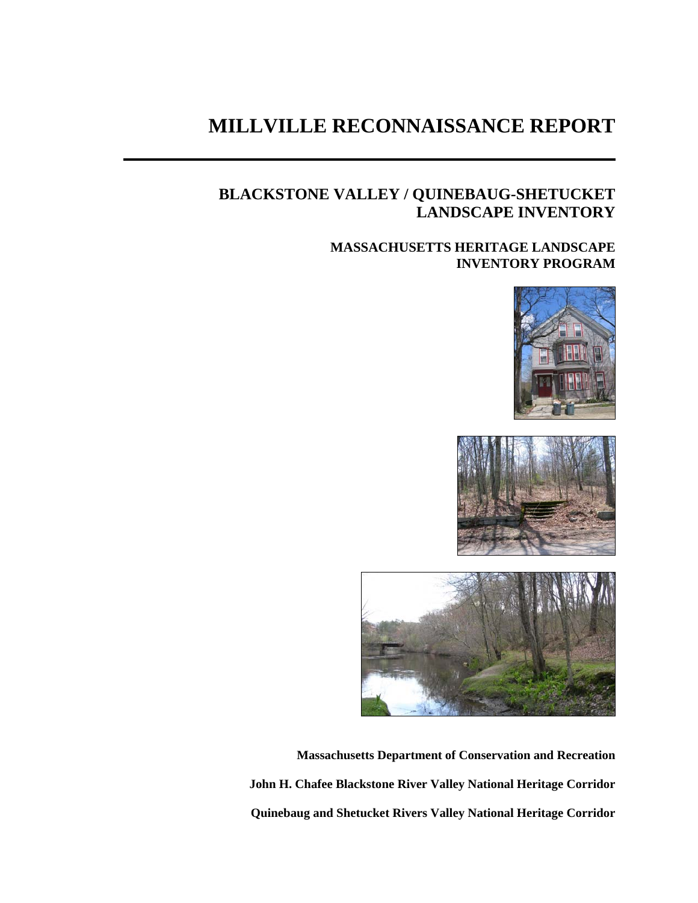# **MILLVILLE RECONNAISSANCE REPORT**

## **BLACKSTONE VALLEY / QUINEBAUG-SHETUCKET LANDSCAPE INVENTORY**

## **MASSACHUSETTS HERITAGE LANDSCAPE INVENTORY PROGRAM**







**Massachusetts Department of Conservation and Recreation John H. Chafee Blackstone River Valley National Heritage Corridor Quinebaug and Shetucket Rivers Valley National Heritage Corridor**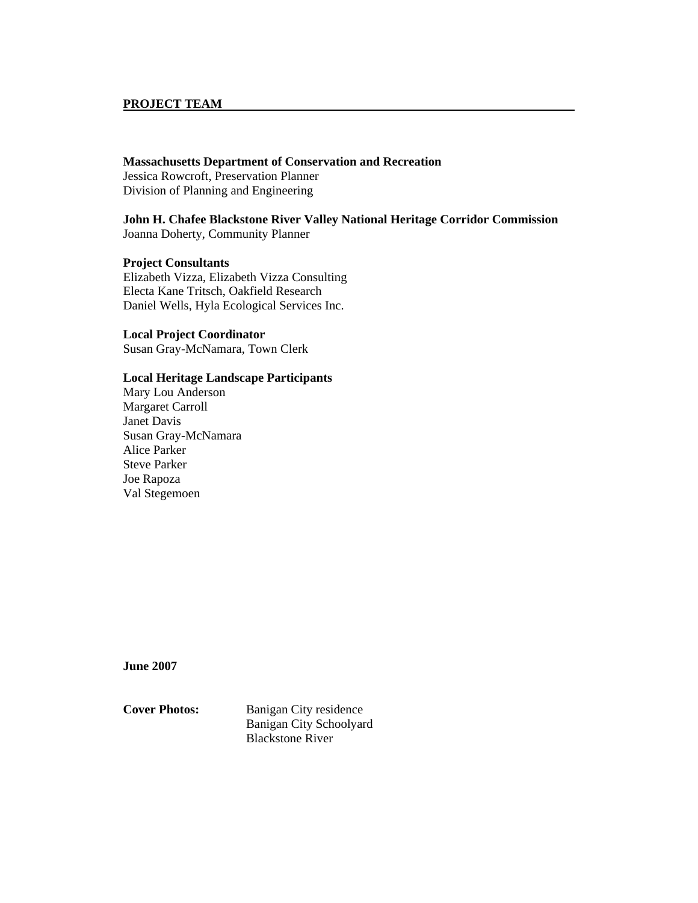#### **PROJECT TEAM**

#### **Massachusetts Department of Conservation and Recreation**

Jessica Rowcroft, Preservation Planner Division of Planning and Engineering

**John H. Chafee Blackstone River Valley National Heritage Corridor Commission**  Joanna Doherty, Community Planner

**Project Consultants**  Elizabeth Vizza, Elizabeth Vizza Consulting Electa Kane Tritsch, Oakfield Research Daniel Wells, Hyla Ecological Services Inc.

#### **Local Project Coordinator**

Susan Gray-McNamara, Town Clerk

#### **Local Heritage Landscape Participants**

Mary Lou Anderson Margaret Carroll Janet Davis Susan Gray-McNamara Alice Parker Steve Parker Joe Rapoza Val Stegemoen

**June 2007** 

**Cover Photos:** Banigan City residence Banigan City Schoolyard Blackstone River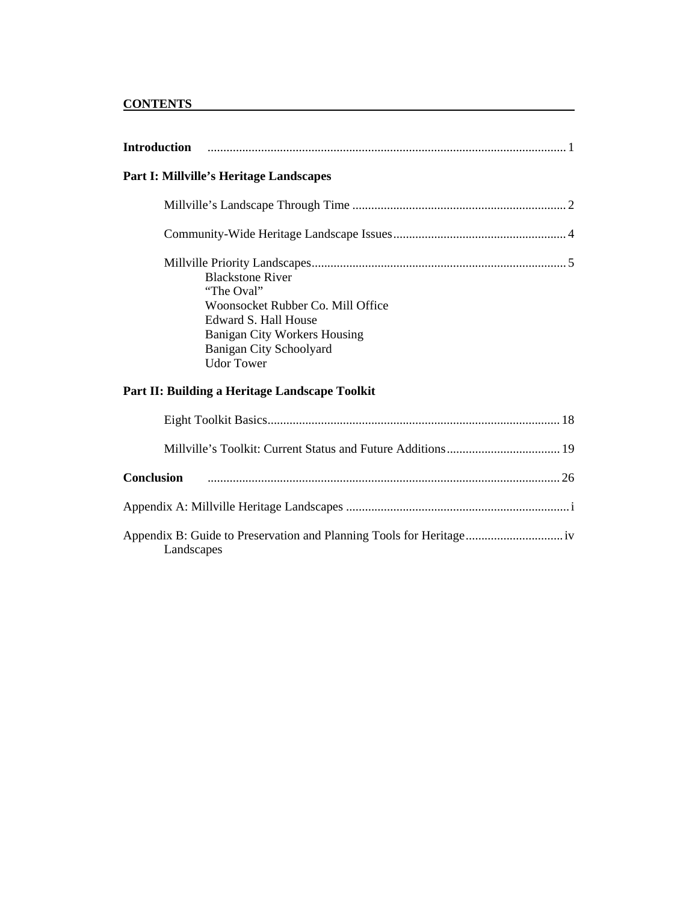## **CONTENTS**

| <b>Introduction</b>                                                                                                                                                                       |
|-------------------------------------------------------------------------------------------------------------------------------------------------------------------------------------------|
| Part I: Millville's Heritage Landscapes                                                                                                                                                   |
|                                                                                                                                                                                           |
|                                                                                                                                                                                           |
| <b>Blackstone River</b><br>"The Oval"<br>Woonsocket Rubber Co. Mill Office<br>Edward S. Hall House<br><b>Banigan City Workers Housing</b><br>Banigan City Schoolyard<br><b>Udor Tower</b> |
| Part II: Building a Heritage Landscape Toolkit                                                                                                                                            |
|                                                                                                                                                                                           |
|                                                                                                                                                                                           |
| <b>Conclusion</b>                                                                                                                                                                         |
|                                                                                                                                                                                           |
| Landscapes                                                                                                                                                                                |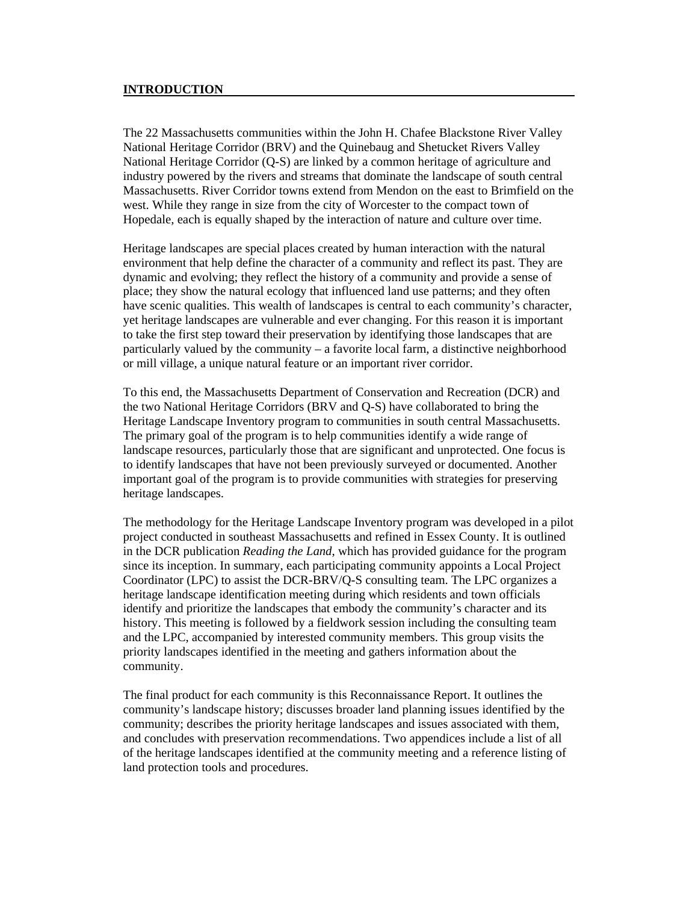#### **INTRODUCTION**

The 22 Massachusetts communities within the John H. Chafee Blackstone River Valley National Heritage Corridor (BRV) and the Quinebaug and Shetucket Rivers Valley National Heritage Corridor (Q-S) are linked by a common heritage of agriculture and industry powered by the rivers and streams that dominate the landscape of south central Massachusetts. River Corridor towns extend from Mendon on the east to Brimfield on the west. While they range in size from the city of Worcester to the compact town of Hopedale, each is equally shaped by the interaction of nature and culture over time.

Heritage landscapes are special places created by human interaction with the natural environment that help define the character of a community and reflect its past. They are dynamic and evolving; they reflect the history of a community and provide a sense of place; they show the natural ecology that influenced land use patterns; and they often have scenic qualities. This wealth of landscapes is central to each community's character, yet heritage landscapes are vulnerable and ever changing. For this reason it is important to take the first step toward their preservation by identifying those landscapes that are particularly valued by the community – a favorite local farm, a distinctive neighborhood or mill village, a unique natural feature or an important river corridor.

To this end, the Massachusetts Department of Conservation and Recreation (DCR) and the two National Heritage Corridors (BRV and Q-S) have collaborated to bring the Heritage Landscape Inventory program to communities in south central Massachusetts. The primary goal of the program is to help communities identify a wide range of landscape resources, particularly those that are significant and unprotected. One focus is to identify landscapes that have not been previously surveyed or documented. Another important goal of the program is to provide communities with strategies for preserving heritage landscapes.

The methodology for the Heritage Landscape Inventory program was developed in a pilot project conducted in southeast Massachusetts and refined in Essex County. It is outlined in the DCR publication *Reading the Land*, which has provided guidance for the program since its inception. In summary, each participating community appoints a Local Project Coordinator (LPC) to assist the DCR-BRV/Q-S consulting team. The LPC organizes a heritage landscape identification meeting during which residents and town officials identify and prioritize the landscapes that embody the community's character and its history. This meeting is followed by a fieldwork session including the consulting team and the LPC, accompanied by interested community members. This group visits the priority landscapes identified in the meeting and gathers information about the community.

The final product for each community is this Reconnaissance Report. It outlines the community's landscape history; discusses broader land planning issues identified by the community; describes the priority heritage landscapes and issues associated with them, and concludes with preservation recommendations. Two appendices include a list of all of the heritage landscapes identified at the community meeting and a reference listing of land protection tools and procedures.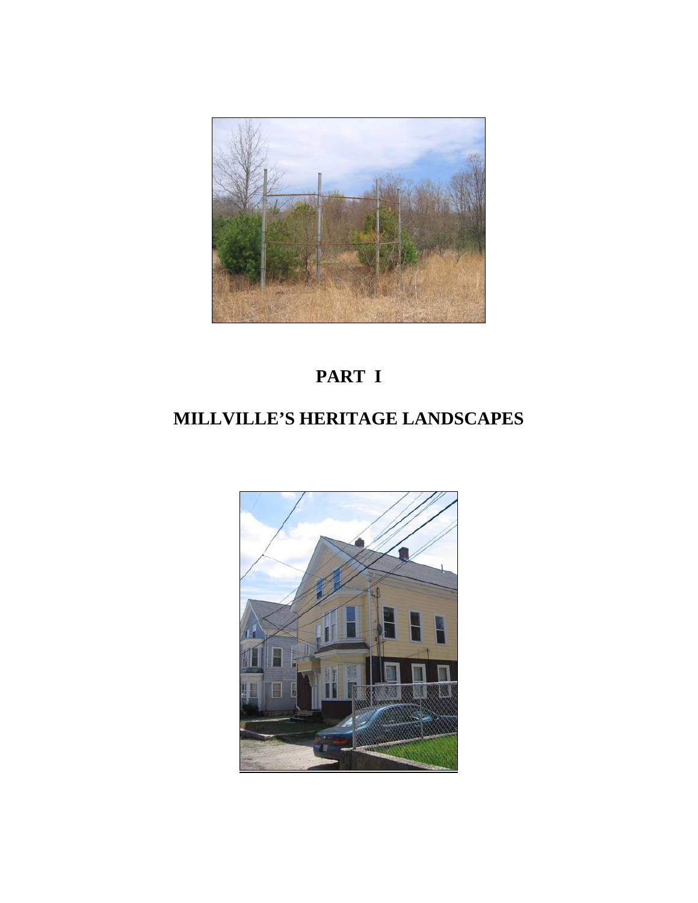

# **PART I**

# **MILLVILLE'S HERITAGE LANDSCAPES**

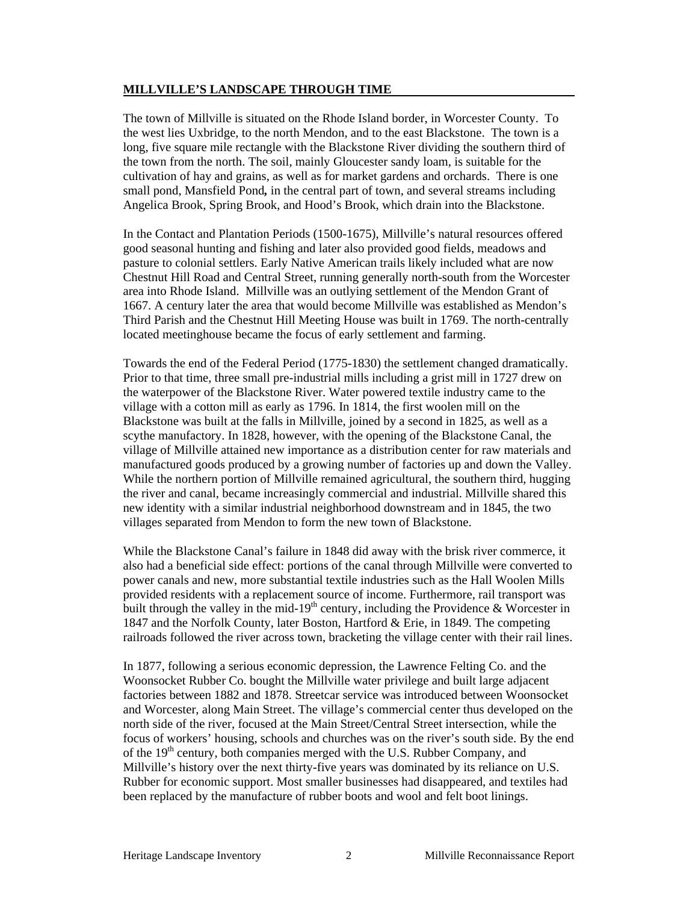#### **MILLVILLE'S LANDSCAPE THROUGH TIME**

The town of Millville is situated on the Rhode Island border, in Worcester County. To the west lies Uxbridge, to the north Mendon, and to the east Blackstone. The town is a long, five square mile rectangle with the Blackstone River dividing the southern third of the town from the north. The soil, mainly Gloucester sandy loam, is suitable for the cultivation of hay and grains, as well as for market gardens and orchards. There is one small pond, Mansfield Pond*,* in the central part of town, and several streams including Angelica Brook, Spring Brook, and Hood's Brook, which drain into the Blackstone.

In the Contact and Plantation Periods (1500-1675), Millville's natural resources offered good seasonal hunting and fishing and later also provided good fields, meadows and pasture to colonial settlers. Early Native American trails likely included what are now Chestnut Hill Road and Central Street, running generally north-south from the Worcester area into Rhode Island. Millville was an outlying settlement of the Mendon Grant of 1667. A century later the area that would become Millville was established as Mendon's Third Parish and the Chestnut Hill Meeting House was built in 1769. The north-centrally located meetinghouse became the focus of early settlement and farming.

Towards the end of the Federal Period (1775-1830) the settlement changed dramatically. Prior to that time, three small pre-industrial mills including a grist mill in 1727 drew on the waterpower of the Blackstone River. Water powered textile industry came to the village with a cotton mill as early as 1796. In 1814, the first woolen mill on the Blackstone was built at the falls in Millville, joined by a second in 1825, as well as a scythe manufactory. In 1828, however, with the opening of the Blackstone Canal, the village of Millville attained new importance as a distribution center for raw materials and manufactured goods produced by a growing number of factories up and down the Valley. While the northern portion of Millville remained agricultural, the southern third, hugging the river and canal, became increasingly commercial and industrial. Millville shared this new identity with a similar industrial neighborhood downstream and in 1845, the two villages separated from Mendon to form the new town of Blackstone.

While the Blackstone Canal's failure in 1848 did away with the brisk river commerce, it also had a beneficial side effect: portions of the canal through Millville were converted to power canals and new, more substantial textile industries such as the Hall Woolen Mills provided residents with a replacement source of income. Furthermore, rail transport was built through the valley in the mid-19<sup>th</sup> century, including the Providence & Worcester in 1847 and the Norfolk County, later Boston, Hartford & Erie, in 1849. The competing railroads followed the river across town, bracketing the village center with their rail lines.

In 1877, following a serious economic depression, the Lawrence Felting Co. and the Woonsocket Rubber Co. bought the Millville water privilege and built large adjacent factories between 1882 and 1878. Streetcar service was introduced between Woonsocket and Worcester, along Main Street. The village's commercial center thus developed on the north side of the river, focused at the Main Street/Central Street intersection, while the focus of workers' housing, schools and churches was on the river's south side. By the end of the 19<sup>th</sup> century, both companies merged with the U.S. Rubber Company, and Millville's history over the next thirty-five years was dominated by its reliance on U.S. Rubber for economic support. Most smaller businesses had disappeared, and textiles had been replaced by the manufacture of rubber boots and wool and felt boot linings.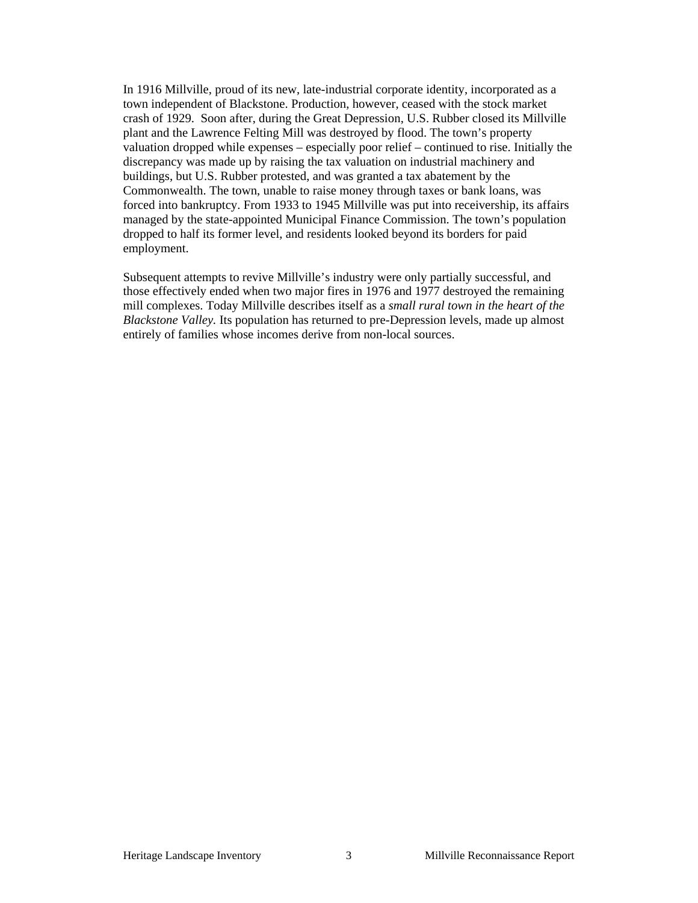In 1916 Millville, proud of its new, late-industrial corporate identity, incorporated as a town independent of Blackstone. Production, however, ceased with the stock market crash of 1929. Soon after, during the Great Depression, U.S. Rubber closed its Millville plant and the Lawrence Felting Mill was destroyed by flood. The town's property valuation dropped while expenses – especially poor relief – continued to rise. Initially the discrepancy was made up by raising the tax valuation on industrial machinery and buildings, but U.S. Rubber protested, and was granted a tax abatement by the Commonwealth. The town, unable to raise money through taxes or bank loans, was forced into bankruptcy. From 1933 to 1945 Millville was put into receivership, its affairs managed by the state-appointed Municipal Finance Commission. The town's population dropped to half its former level, and residents looked beyond its borders for paid employment.

Subsequent attempts to revive Millville's industry were only partially successful, and those effectively ended when two major fires in 1976 and 1977 destroyed the remaining mill complexes. Today Millville describes itself as a *small rural town in the heart of the Blackstone Valley.* Its population has returned to pre-Depression levels, made up almost entirely of families whose incomes derive from non-local sources.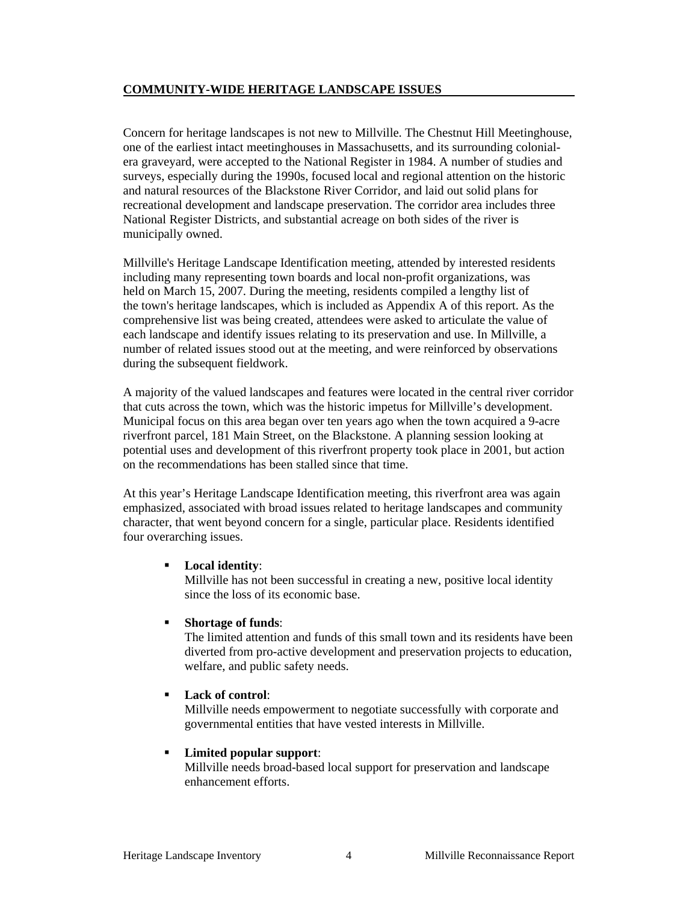#### **COMMUNITY-WIDE HERITAGE LANDSCAPE ISSUES**

Concern for heritage landscapes is not new to Millville. The Chestnut Hill Meetinghouse, one of the earliest intact meetinghouses in Massachusetts, and its surrounding colonialera graveyard, were accepted to the National Register in 1984. A number of studies and surveys, especially during the 1990s, focused local and regional attention on the historic and natural resources of the Blackstone River Corridor, and laid out solid plans for recreational development and landscape preservation. The corridor area includes three National Register Districts, and substantial acreage on both sides of the river is municipally owned.

Millville's Heritage Landscape Identification meeting, attended by interested residents including many representing town boards and local non-profit organizations, was held on March 15, 2007. During the meeting, residents compiled a lengthy list of the town's heritage landscapes, which is included as Appendix A of this report. As the comprehensive list was being created, attendees were asked to articulate the value of each landscape and identify issues relating to its preservation and use. In Millville, a number of related issues stood out at the meeting, and were reinforced by observations during the subsequent fieldwork.

A majority of the valued landscapes and features were located in the central river corridor that cuts across the town, which was the historic impetus for Millville's development. Municipal focus on this area began over ten years ago when the town acquired a 9-acre riverfront parcel, 181 Main Street, on the Blackstone. A planning session looking at potential uses and development of this riverfront property took place in 2001, but action on the recommendations has been stalled since that time.

At this year's Heritage Landscape Identification meeting, this riverfront area was again emphasized, associated with broad issues related to heritage landscapes and community character, that went beyond concern for a single, particular place. Residents identified four overarching issues.

#### **Local identity**:

Millville has not been successful in creating a new, positive local identity since the loss of its economic base.

#### **Shortage of funds**:

The limited attention and funds of this small town and its residents have been diverted from pro-active development and preservation projects to education, welfare, and public safety needs.

#### **Lack of control**:

Millville needs empowerment to negotiate successfully with corporate and governmental entities that have vested interests in Millville.

#### **Limited popular support**:

Millville needs broad-based local support for preservation and landscape enhancement efforts.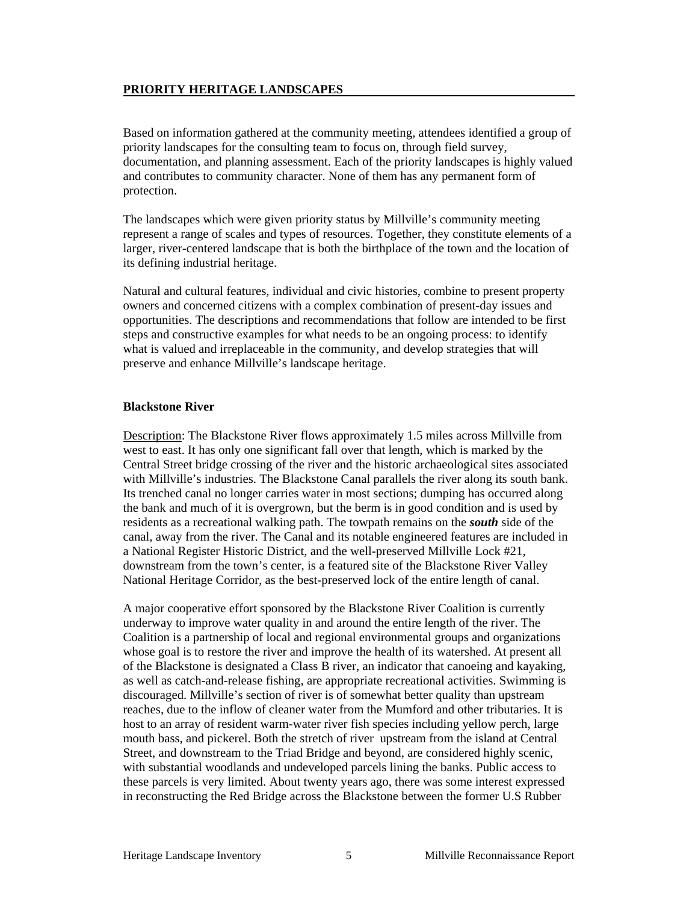#### **PRIORITY HERITAGE LANDSCAPES**

Based on information gathered at the community meeting, attendees identified a group of priority landscapes for the consulting team to focus on, through field survey, documentation, and planning assessment. Each of the priority landscapes is highly valued and contributes to community character. None of them has any permanent form of protection.

The landscapes which were given priority status by Millville's community meeting represent a range of scales and types of resources. Together, they constitute elements of a larger, river-centered landscape that is both the birthplace of the town and the location of its defining industrial heritage.

Natural and cultural features, individual and civic histories, combine to present property owners and concerned citizens with a complex combination of present-day issues and opportunities. The descriptions and recommendations that follow are intended to be first steps and constructive examples for what needs to be an ongoing process: to identify what is valued and irreplaceable in the community, and develop strategies that will preserve and enhance Millville's landscape heritage.

#### **Blackstone River**

Description: The Blackstone River flows approximately 1.5 miles across Millville from west to east. It has only one significant fall over that length, which is marked by the Central Street bridge crossing of the river and the historic archaeological sites associated with Millville's industries. The Blackstone Canal parallels the river along its south bank. Its trenched canal no longer carries water in most sections; dumping has occurred along the bank and much of it is overgrown, but the berm is in good condition and is used by residents as a recreational walking path. The towpath remains on the *south* side of the canal, away from the river. The Canal and its notable engineered features are included in a National Register Historic District, and the well-preserved Millville Lock #21, downstream from the town's center, is a featured site of the Blackstone River Valley National Heritage Corridor, as the best-preserved lock of the entire length of canal.

A major cooperative effort sponsored by the Blackstone River Coalition is currently underway to improve water quality in and around the entire length of the river. The Coalition is a partnership of local and regional environmental groups and organizations whose goal is to restore the river and improve the health of its watershed. At present all of the Blackstone is designated a Class B river, an indicator that canoeing and kayaking, as well as catch-and-release fishing, are appropriate recreational activities. Swimming is discouraged. Millville's section of river is of somewhat better quality than upstream reaches, due to the inflow of cleaner water from the Mumford and other tributaries. It is host to an array of resident warm-water river fish species including yellow perch, large mouth bass, and pickerel. Both the stretch of river upstream from the island at Central Street, and downstream to the Triad Bridge and beyond, are considered highly scenic, with substantial woodlands and undeveloped parcels lining the banks. Public access to these parcels is very limited. About twenty years ago, there was some interest expressed in reconstructing the Red Bridge across the Blackstone between the former U.S Rubber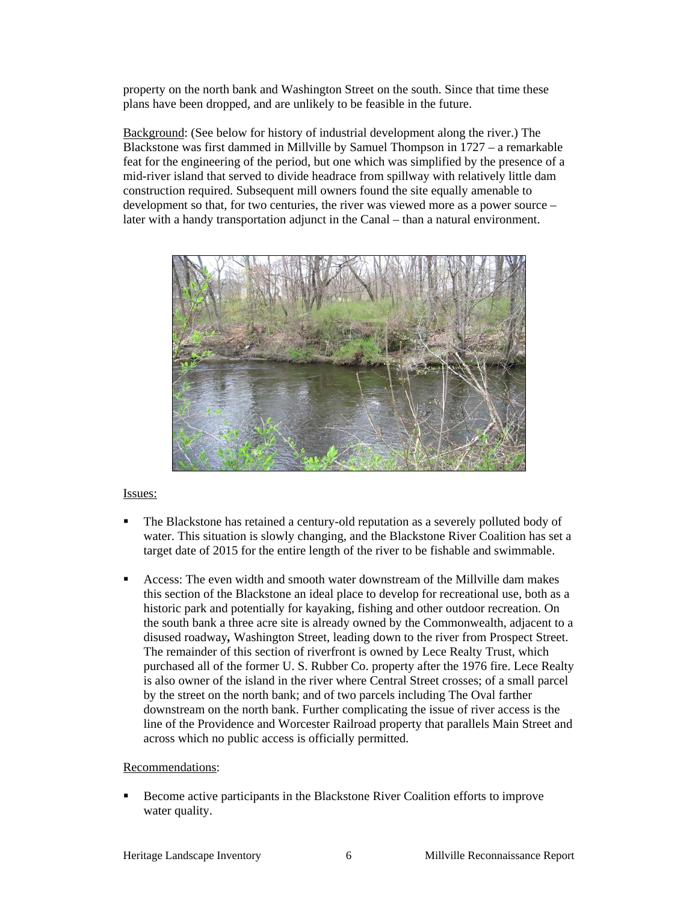property on the north bank and Washington Street on the south. Since that time these plans have been dropped, and are unlikely to be feasible in the future.

 Background: (See below for history of industrial development along the river.) The Blackstone was first dammed in Millville by Samuel Thompson in  $1727 - a$  remarkable feat for the engineering of the period, but one which was simplified by the presence of a mid-river island that served to divide headrace from spillway with relatively little dam construction required. Subsequent mill owners found the site equally amenable to development so that, for two centuries, the river was viewed more as a power source – later with a handy transportation adjunct in the Canal – than a natural environment.



#### Issues:

- The Blackstone has retained a century-old reputation as a severely polluted body of water. This situation is slowly changing, and the Blackstone River Coalition has set a target date of 2015 for the entire length of the river to be fishable and swimmable.
- Access: The even width and smooth water downstream of the Millville dam makes this section of the Blackstone an ideal place to develop for recreational use, both as a historic park and potentially for kayaking, fishing and other outdoor recreation. On the south bank a three acre site is already owned by the Commonwealth, adjacent to a disused roadway*,* Washington Street, leading down to the river from Prospect Street. The remainder of this section of riverfront is owned by Lece Realty Trust, which purchased all of the former U. S. Rubber Co. property after the 1976 fire. Lece Realty is also owner of the island in the river where Central Street crosses; of a small parcel by the street on the north bank; and of two parcels including The Oval farther downstream on the north bank. Further complicating the issue of river access is the line of the Providence and Worcester Railroad property that parallels Main Street and across which no public access is officially permitted.

#### Recommendations:

Become active participants in the Blackstone River Coalition efforts to improve water quality.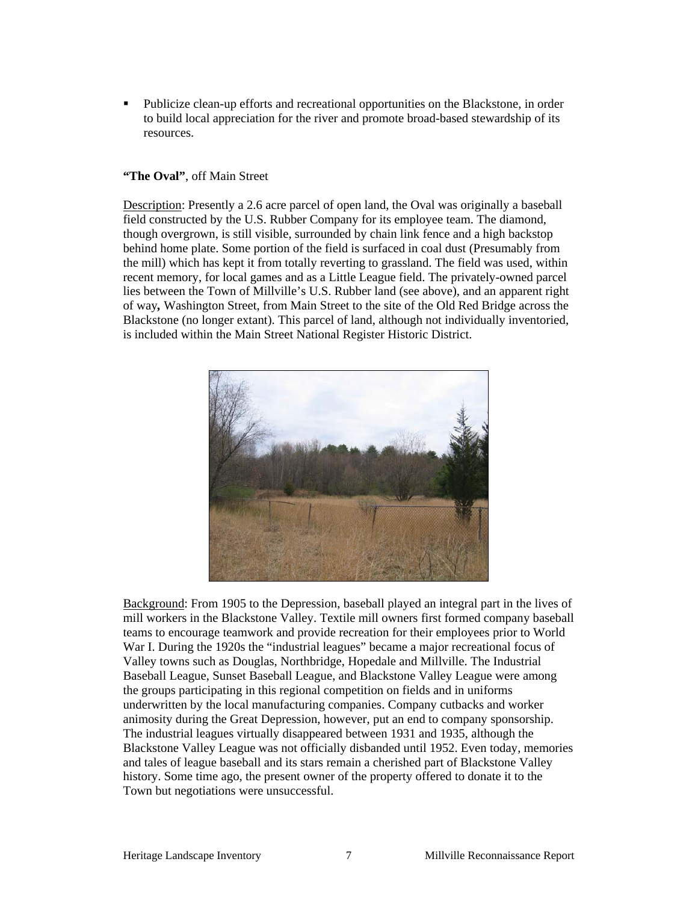Publicize clean-up efforts and recreational opportunities on the Blackstone, in order to build local appreciation for the river and promote broad-based stewardship of its resources.

#### **"The Oval"**, off Main Street

Description: Presently a 2.6 acre parcel of open land, the Oval was originally a baseball field constructed by the U.S. Rubber Company for its employee team. The diamond, though overgrown, is still visible, surrounded by chain link fence and a high backstop behind home plate. Some portion of the field is surfaced in coal dust (Presumably from the mill) which has kept it from totally reverting to grassland. The field was used, within recent memory, for local games and as a Little League field. The privately-owned parcel lies between the Town of Millville's U.S. Rubber land (see above), and an apparent right of way*,* Washington Street, from Main Street to the site of the Old Red Bridge across the Blackstone (no longer extant). This parcel of land, although not individually inventoried, is included within the Main Street National Register Historic District.



 Background: From 1905 to the Depression, baseball played an integral part in the lives of mill workers in the Blackstone Valley. Textile mill owners first formed company baseball teams to encourage teamwork and provide recreation for their employees prior to World War I. During the 1920s the "industrial leagues" became a major recreational focus of Valley towns such as Douglas, Northbridge, Hopedale and Millville. The Industrial Baseball League, Sunset Baseball League, and Blackstone Valley League were among the groups participating in this regional competition on fields and in uniforms underwritten by the local manufacturing companies. Company cutbacks and worker animosity during the Great Depression, however, put an end to company sponsorship. The industrial leagues virtually disappeared between 1931 and 1935, although the Blackstone Valley League was not officially disbanded until 1952. Even today, memories and tales of league baseball and its stars remain a cherished part of Blackstone Valley history. Some time ago, the present owner of the property offered to donate it to the Town but negotiations were unsuccessful.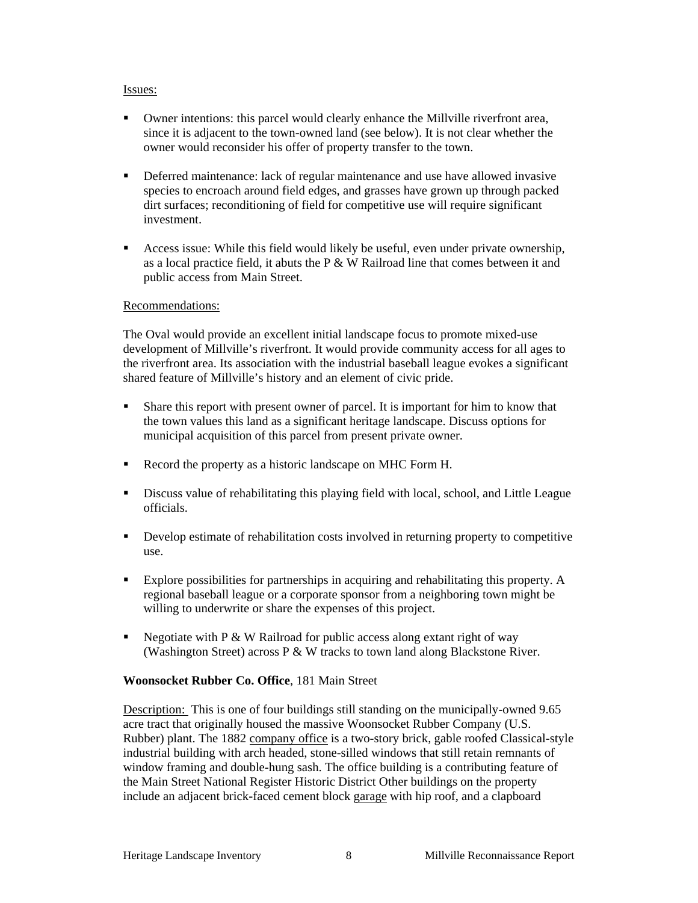#### Issues:

- Owner intentions: this parcel would clearly enhance the Millville riverfront area, since it is adjacent to the town-owned land (see below). It is not clear whether the owner would reconsider his offer of property transfer to the town.
- **•** Deferred maintenance: lack of regular maintenance and use have allowed invasive species to encroach around field edges, and grasses have grown up through packed dirt surfaces; reconditioning of field for competitive use will require significant investment.
- Access issue: While this field would likely be useful, even under private ownership, as a local practice field, it abuts the P & W Railroad line that comes between it and public access from Main Street.

#### Recommendations:

The Oval would provide an excellent initial landscape focus to promote mixed-use development of Millville's riverfront. It would provide community access for all ages to the riverfront area. Its association with the industrial baseball league evokes a significant shared feature of Millville's history and an element of civic pride.

- Share this report with present owner of parcel. It is important for him to know that the town values this land as a significant heritage landscape. Discuss options for municipal acquisition of this parcel from present private owner.
- Record the property as a historic landscape on MHC Form H.
- Discuss value of rehabilitating this playing field with local, school, and Little League officials.
- Develop estimate of rehabilitation costs involved in returning property to competitive use.
- Explore possibilities for partnerships in acquiring and rehabilitating this property. A regional baseball league or a corporate sponsor from a neighboring town might be willing to underwrite or share the expenses of this project.
- Negotiate with  $P \& W$  Railroad for public access along extant right of way (Washington Street) across P & W tracks to town land along Blackstone River.

#### **Woonsocket Rubber Co. Office**, 181 Main Street

Description: This is one of four buildings still standing on the municipally-owned 9.65 acre tract that originally housed the massive Woonsocket Rubber Company (U.S. Rubber) plant. The 1882 company office is a two-story brick, gable roofed Classical-style industrial building with arch headed, stone-silled windows that still retain remnants of window framing and double-hung sash. The office building is a contributing feature of the Main Street National Register Historic District Other buildings on the property include an adjacent brick-faced cement block garage with hip roof, and a clapboard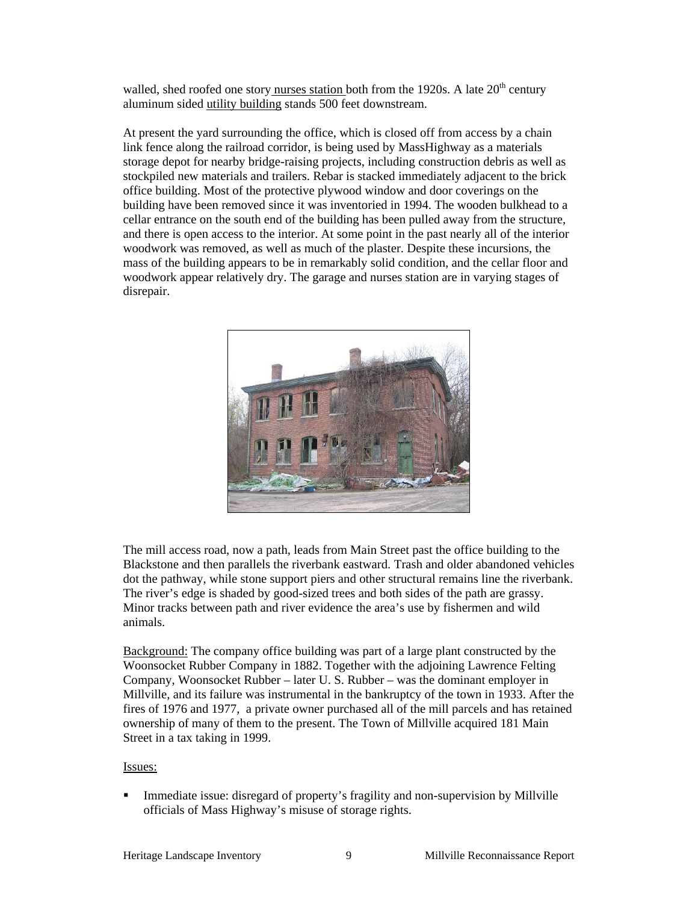walled, shed roofed one story nurses station both from the 1920s. A late  $20<sup>th</sup>$  century aluminum sided utility building stands 500 feet downstream.

At present the yard surrounding the office, which is closed off from access by a chain link fence along the railroad corridor, is being used by MassHighway as a materials storage depot for nearby bridge-raising projects, including construction debris as well as stockpiled new materials and trailers. Rebar is stacked immediately adjacent to the brick office building. Most of the protective plywood window and door coverings on the building have been removed since it was inventoried in 1994. The wooden bulkhead to a cellar entrance on the south end of the building has been pulled away from the structure, and there is open access to the interior. At some point in the past nearly all of the interior woodwork was removed, as well as much of the plaster. Despite these incursions, the mass of the building appears to be in remarkably solid condition, and the cellar floor and woodwork appear relatively dry. The garage and nurses station are in varying stages of disrepair.



The mill access road, now a path, leads from Main Street past the office building to the Blackstone and then parallels the riverbank eastward. Trash and older abandoned vehicles dot the pathway, while stone support piers and other structural remains line the riverbank. The river's edge is shaded by good-sized trees and both sides of the path are grassy. Minor tracks between path and river evidence the area's use by fishermen and wild animals.

Background: The company office building was part of a large plant constructed by the Woonsocket Rubber Company in 1882. Together with the adjoining Lawrence Felting Company, Woonsocket Rubber – later U. S. Rubber – was the dominant employer in Millville, and its failure was instrumental in the bankruptcy of the town in 1933. After the fires of 1976 and 1977, a private owner purchased all of the mill parcels and has retained ownership of many of them to the present. The Town of Millville acquired 181 Main Street in a tax taking in 1999.

#### Issues:

 Immediate issue: disregard of property's fragility and non-supervision by Millville officials of Mass Highway's misuse of storage rights.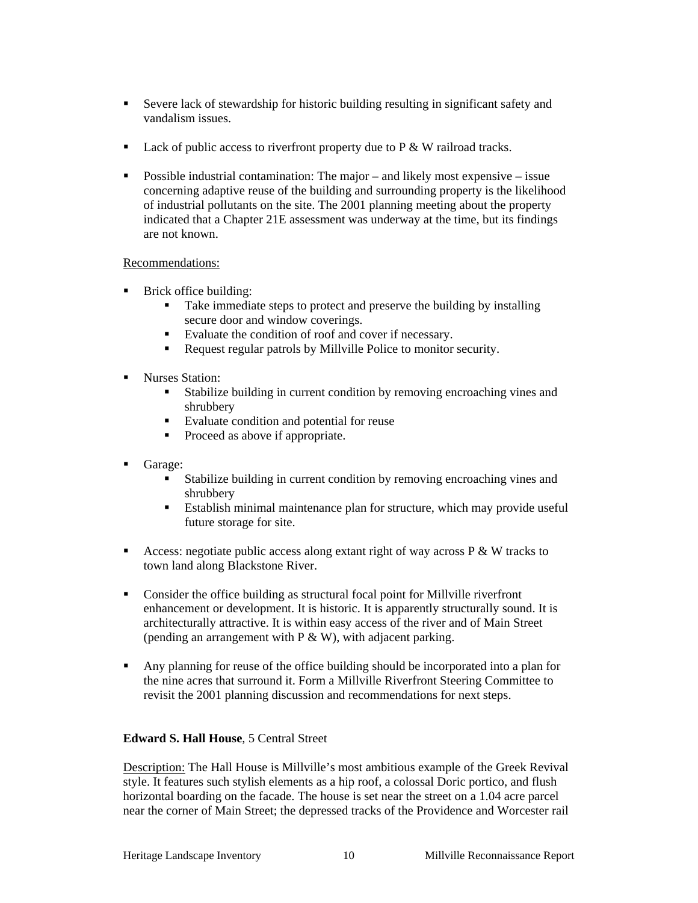- Severe lack of stewardship for historic building resulting in significant safety and vandalism issues.
- Lack of public access to riverfront property due to  $P \& W$  railroad tracks.
- **Possible industrial contamination:** The major and likely most expensive issue concerning adaptive reuse of the building and surrounding property is the likelihood of industrial pollutants on the site. The 2001 planning meeting about the property indicated that a Chapter 21E assessment was underway at the time, but its findings are not known.

#### Recommendations:

- Brick office building:
	- Take immediate steps to protect and preserve the building by installing secure door and window coverings.
	- Evaluate the condition of roof and cover if necessary.
	- Request regular patrols by Millville Police to monitor security.
- **Nurses Station:** 
	- Stabilize building in current condition by removing encroaching vines and shrubbery
	- **Evaluate condition and potential for reuse**
	- Proceed as above if appropriate.
- Garage:
	- Stabilize building in current condition by removing encroaching vines and shrubbery
	- Establish minimal maintenance plan for structure, which may provide useful future storage for site.
- Access: negotiate public access along extant right of way across  $P \& W$  tracks to town land along Blackstone River.
- Consider the office building as structural focal point for Millville riverfront enhancement or development. It is historic. It is apparently structurally sound. It is architecturally attractive. It is within easy access of the river and of Main Street (pending an arrangement with  $P \& W$ ), with adjacent parking.
- Any planning for reuse of the office building should be incorporated into a plan for the nine acres that surround it. Form a Millville Riverfront Steering Committee to revisit the 2001 planning discussion and recommendations for next steps.

#### **Edward S. Hall House**, 5 Central Street

Description: The Hall House is Millville's most ambitious example of the Greek Revival style. It features such stylish elements as a hip roof, a colossal Doric portico, and flush horizontal boarding on the facade. The house is set near the street on a 1.04 acre parcel near the corner of Main Street; the depressed tracks of the Providence and Worcester rail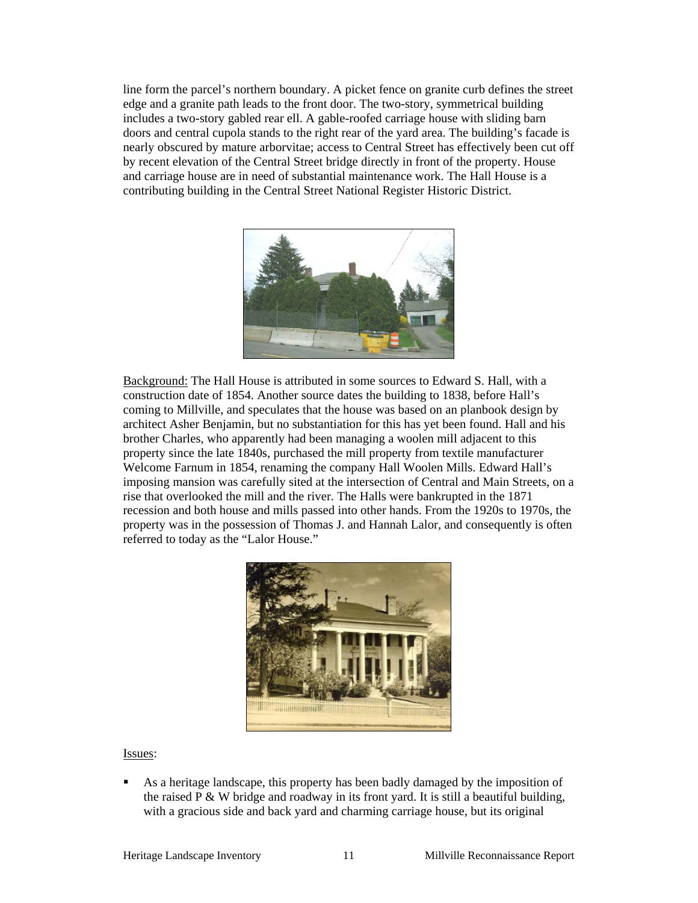line form the parcel's northern boundary. A picket fence on granite curb defines the street edge and a granite path leads to the front door. The two-story, symmetrical building includes a two-story gabled rear ell. A gable-roofed carriage house with sliding barn doors and central cupola stands to the right rear of the yard area. The building's facade is nearly obscured by mature arborvitae; access to Central Street has effectively been cut off by recent elevation of the Central Street bridge directly in front of the property. House and carriage house are in need of substantial maintenance work. The Hall House is a contributing building in the Central Street National Register Historic District.



Background: The Hall House is attributed in some sources to Edward S. Hall, with a construction date of 1854. Another source dates the building to 1838, before Hall's coming to Millville, and speculates that the house was based on an planbook design by architect Asher Benjamin, but no substantiation for this has yet been found. Hall and his brother Charles, who apparently had been managing a woolen mill adjacent to this property since the late 1840s, purchased the mill property from textile manufacturer Welcome Farnum in 1854, renaming the company Hall Woolen Mills. Edward Hall's imposing mansion was carefully sited at the intersection of Central and Main Streets, on a rise that overlooked the mill and the river. The Halls were bankrupted in the 1871 recession and both house and mills passed into other hands. From the 1920s to 1970s, the property was in the possession of Thomas J. and Hannah Lalor, and consequently is often referred to today as the "Lalor House."



#### Issues:

 As a heritage landscape, this property has been badly damaged by the imposition of the raised  $P \& W$  bridge and roadway in its front yard. It is still a beautiful building, with a gracious side and back yard and charming carriage house, but its original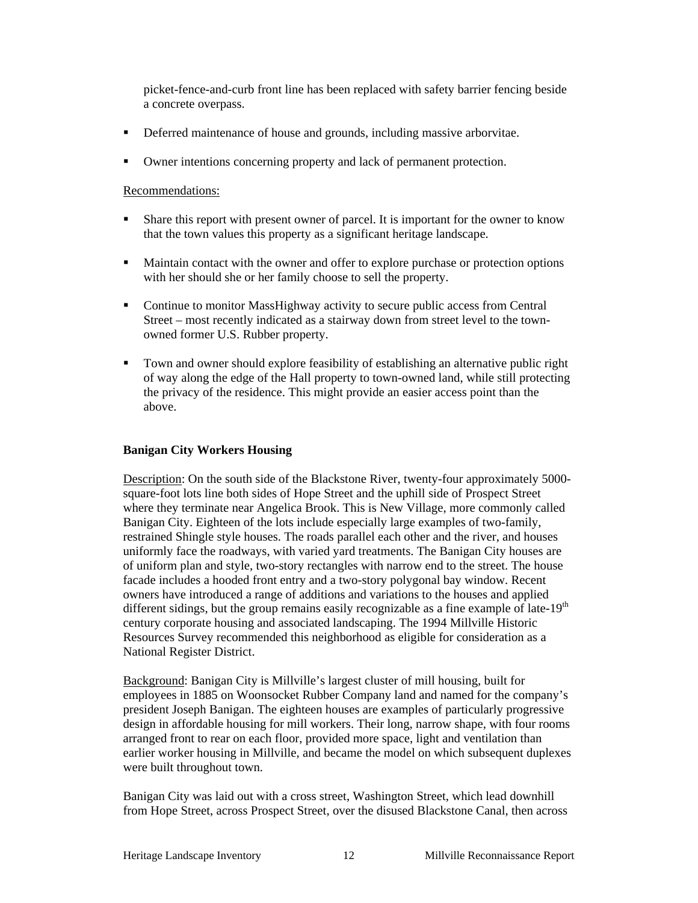picket-fence-and-curb front line has been replaced with safety barrier fencing beside a concrete overpass.

- Deferred maintenance of house and grounds, including massive arborvitae.
- Owner intentions concerning property and lack of permanent protection.

Recommendations:

- Share this report with present owner of parcel. It is important for the owner to know that the town values this property as a significant heritage landscape.
- Maintain contact with the owner and offer to explore purchase or protection options with her should she or her family choose to sell the property.
- Continue to monitor MassHighway activity to secure public access from Central Street – most recently indicated as a stairway down from street level to the townowned former U.S. Rubber property.
- Town and owner should explore feasibility of establishing an alternative public right of way along the edge of the Hall property to town-owned land, while still protecting the privacy of the residence. This might provide an easier access point than the above.

#### **Banigan City Workers Housing**

Description: On the south side of the Blackstone River, twenty-four approximately 5000 square-foot lots line both sides of Hope Street and the uphill side of Prospect Street where they terminate near Angelica Brook. This is New Village, more commonly called Banigan City. Eighteen of the lots include especially large examples of two-family, restrained Shingle style houses. The roads parallel each other and the river, and houses uniformly face the roadways, with varied yard treatments. The Banigan City houses are of uniform plan and style, two-story rectangles with narrow end to the street. The house facade includes a hooded front entry and a two-story polygonal bay window. Recent owners have introduced a range of additions and variations to the houses and applied different sidings, but the group remains easily recognizable as a fine example of late- $19<sup>th</sup>$ century corporate housing and associated landscaping. The 1994 Millville Historic Resources Survey recommended this neighborhood as eligible for consideration as a National Register District.

 Background: Banigan City is Millville's largest cluster of mill housing, built for employees in 1885 on Woonsocket Rubber Company land and named for the company's president Joseph Banigan. The eighteen houses are examples of particularly progressive design in affordable housing for mill workers. Their long, narrow shape, with four rooms arranged front to rear on each floor, provided more space, light and ventilation than earlier worker housing in Millville, and became the model on which subsequent duplexes were built throughout town.

Banigan City was laid out with a cross street, Washington Street, which lead downhill from Hope Street, across Prospect Street, over the disused Blackstone Canal, then across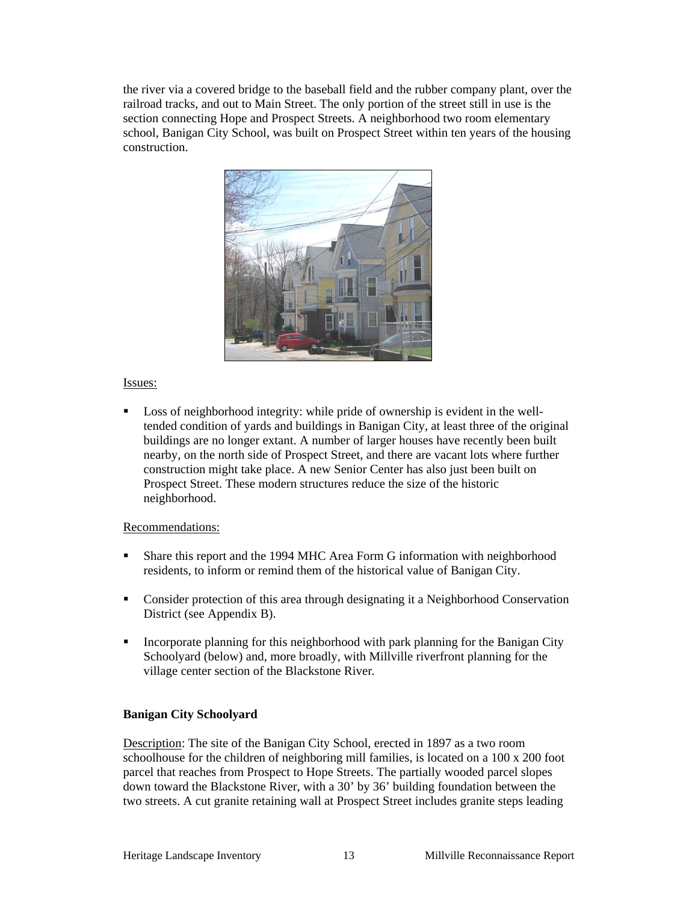the river via a covered bridge to the baseball field and the rubber company plant, over the railroad tracks, and out to Main Street. The only portion of the street still in use is the section connecting Hope and Prospect Streets. A neighborhood two room elementary school, Banigan City School, was built on Prospect Street within ten years of the housing construction.



#### Issues:

 Loss of neighborhood integrity: while pride of ownership is evident in the welltended condition of yards and buildings in Banigan City, at least three of the original buildings are no longer extant. A number of larger houses have recently been built nearby, on the north side of Prospect Street, and there are vacant lots where further construction might take place. A new Senior Center has also just been built on Prospect Street. These modern structures reduce the size of the historic neighborhood.

#### Recommendations:

- Share this report and the 1994 MHC Area Form G information with neighborhood residents, to inform or remind them of the historical value of Banigan City.
- Consider protection of this area through designating it a Neighborhood Conservation District (see Appendix B).
- Incorporate planning for this neighborhood with park planning for the Banigan City Schoolyard (below) and, more broadly, with Millville riverfront planning for the village center section of the Blackstone River*.*

#### **Banigan City Schoolyard**

Description: The site of the Banigan City School, erected in 1897 as a two room schoolhouse for the children of neighboring mill families, is located on a 100 x 200 foot parcel that reaches from Prospect to Hope Streets. The partially wooded parcel slopes down toward the Blackstone River, with a 30' by 36' building foundation between the two streets. A cut granite retaining wall at Prospect Street includes granite steps leading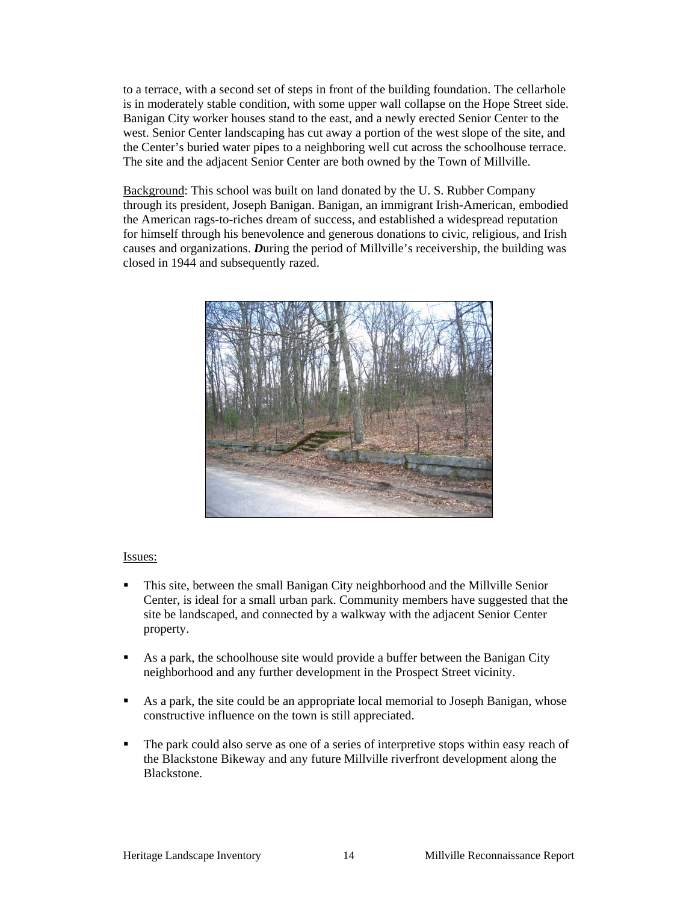to a terrace, with a second set of steps in front of the building foundation. The cellarhole is in moderately stable condition, with some upper wall collapse on the Hope Street side. Banigan City worker houses stand to the east, and a newly erected Senior Center to the west. Senior Center landscaping has cut away a portion of the west slope of the site, and the Center's buried water pipes to a neighboring well cut across the schoolhouse terrace. The site and the adjacent Senior Center are both owned by the Town of Millville.

 Background: This school was built on land donated by the U. S. Rubber Company through its president, Joseph Banigan. Banigan, an immigrant Irish-American, embodied the American rags-to-riches dream of success, and established a widespread reputation for himself through his benevolence and generous donations to civic, religious, and Irish causes and organizations. *D*uring the period of Millville's receivership, the building was closed in 1944 and subsequently razed.



#### Issues:

- This site, between the small Banigan City neighborhood and the Millville Senior Center, is ideal for a small urban park. Community members have suggested that the site be landscaped, and connected by a walkway with the adjacent Senior Center property.
- As a park, the schoolhouse site would provide a buffer between the Banigan City neighborhood and any further development in the Prospect Street vicinity.
- As a park, the site could be an appropriate local memorial to Joseph Banigan, whose constructive influence on the town is still appreciated.
- The park could also serve as one of a series of interpretive stops within easy reach of the Blackstone Bikeway and any future Millville riverfront development along the Blackstone.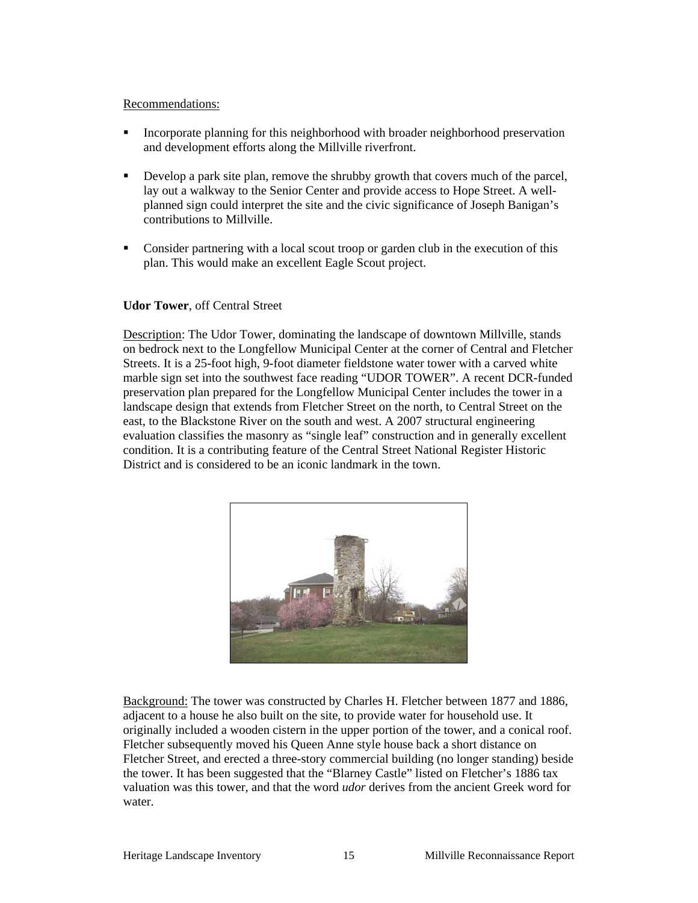#### Recommendations:

- Incorporate planning for this neighborhood with broader neighborhood preservation and development efforts along the Millville riverfront.
- Develop a park site plan, remove the shrubby growth that covers much of the parcel, lay out a walkway to the Senior Center and provide access to Hope Street. A wellplanned sign could interpret the site and the civic significance of Joseph Banigan's contributions to Millville.
- Consider partnering with a local scout troop or garden club in the execution of this plan. This would make an excellent Eagle Scout project.

#### **Udor Tower**, off Central Street

Description: The Udor Tower, dominating the landscape of downtown Millville, stands on bedrock next to the Longfellow Municipal Center at the corner of Central and Fletcher Streets. It is a 25-foot high, 9-foot diameter fieldstone water tower with a carved white marble sign set into the southwest face reading "UDOR TOWER". A recent DCR-funded preservation plan prepared for the Longfellow Municipal Center includes the tower in a landscape design that extends from Fletcher Street on the north, to Central Street on the east, to the Blackstone River on the south and west. A 2007 structural engineering evaluation classifies the masonry as "single leaf" construction and in generally excellent condition. It is a contributing feature of the Central Street National Register Historic District and is considered to be an iconic landmark in the town.



Background: The tower was constructed by Charles H. Fletcher between 1877 and 1886, adjacent to a house he also built on the site, to provide water for household use. It originally included a wooden cistern in the upper portion of the tower, and a conical roof. Fletcher subsequently moved his Queen Anne style house back a short distance on Fletcher Street, and erected a three-story commercial building (no longer standing) beside the tower. It has been suggested that the "Blarney Castle" listed on Fletcher's 1886 tax valuation was this tower, and that the word *udor* derives from the ancient Greek word for water.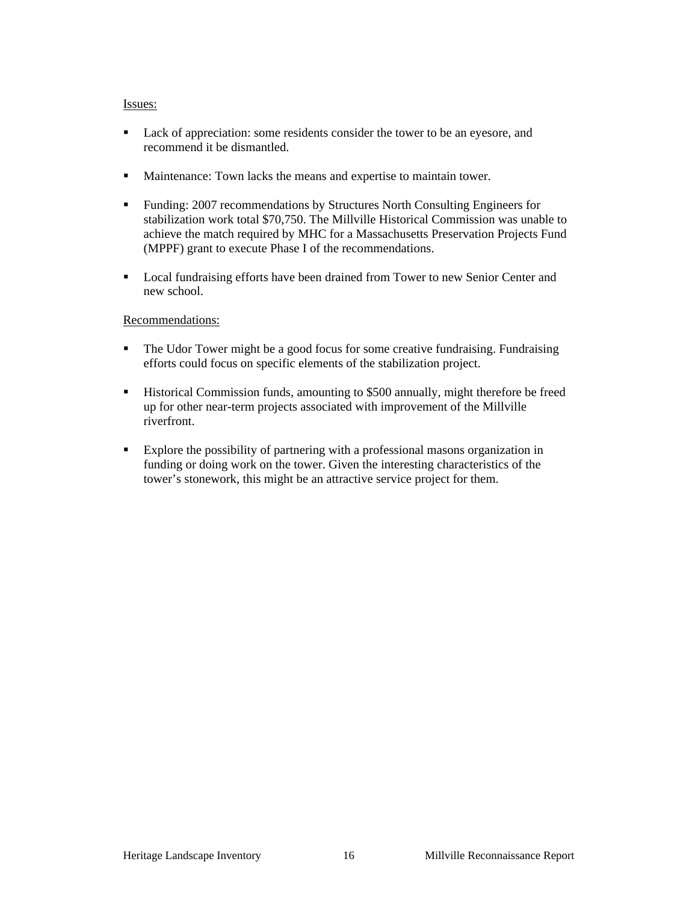#### Issues:

- Lack of appreciation: some residents consider the tower to be an eyesore, and recommend it be dismantled.
- **Maintenance:** Town lacks the means and expertise to maintain tower.
- Funding: 2007 recommendations by Structures North Consulting Engineers for stabilization work total \$70,750. The Millville Historical Commission was unable to achieve the match required by MHC for a Massachusetts Preservation Projects Fund (MPPF) grant to execute Phase I of the recommendations.
- Local fundraising efforts have been drained from Tower to new Senior Center and new school.

#### Recommendations:

- The Udor Tower might be a good focus for some creative fundraising. Fundraising efforts could focus on specific elements of the stabilization project.
- **Historical Commission funds, amounting to \$500 annually, might therefore be freed** up for other near-term projects associated with improvement of the Millville riverfront.
- Explore the possibility of partnering with a professional masons organization in funding or doing work on the tower. Given the interesting characteristics of the tower's stonework, this might be an attractive service project for them.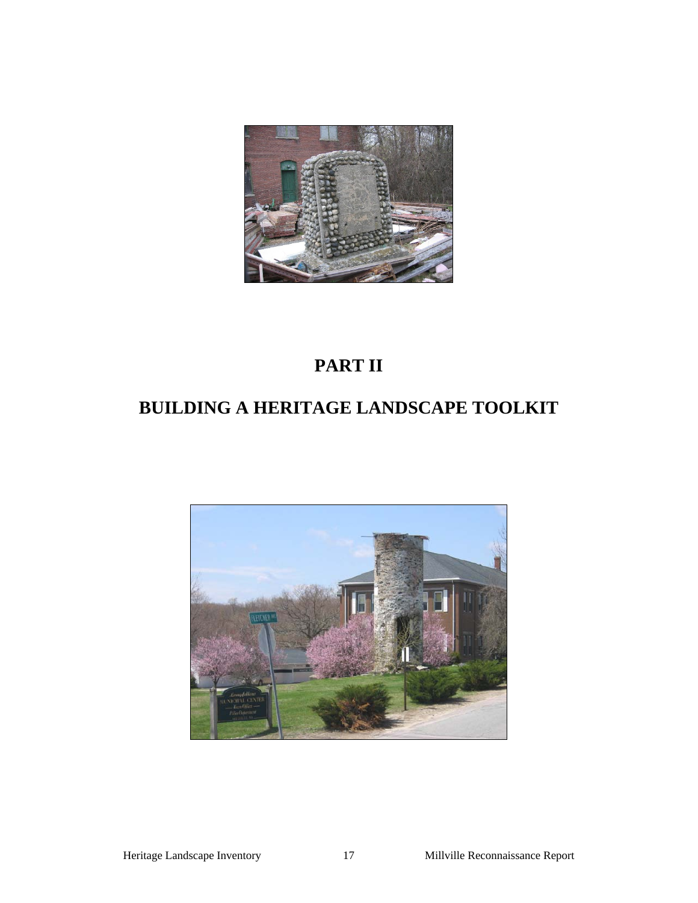

# **PART II**

# **BUILDING A HERITAGE LANDSCAPE TOOLKIT**

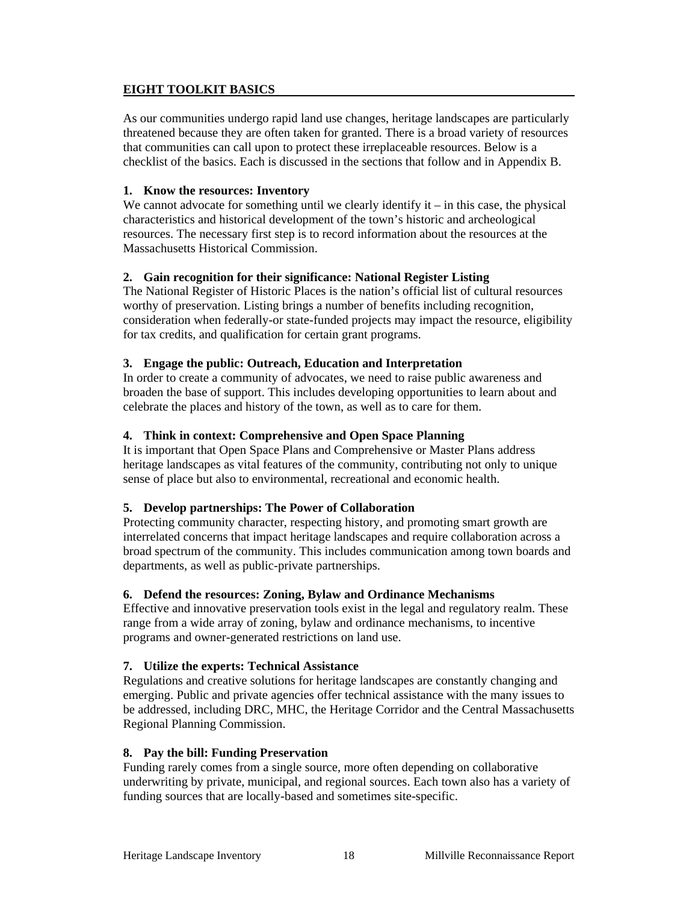#### **EIGHT TOOLKIT BASICS**

As our communities undergo rapid land use changes, heritage landscapes are particularly threatened because they are often taken for granted. There is a broad variety of resources that communities can call upon to protect these irreplaceable resources. Below is a checklist of the basics. Each is discussed in the sections that follow and in Appendix B.

#### **1. Know the resources: Inventory**

We cannot advocate for something until we clearly identify it  $-$  in this case, the physical characteristics and historical development of the town's historic and archeological resources. The necessary first step is to record information about the resources at the Massachusetts Historical Commission.

#### **2. Gain recognition for their significance: National Register Listing**

The National Register of Historic Places is the nation's official list of cultural resources worthy of preservation. Listing brings a number of benefits including recognition, consideration when federally-or state-funded projects may impact the resource, eligibility for tax credits, and qualification for certain grant programs.

#### **3. Engage the public: Outreach, Education and Interpretation**

In order to create a community of advocates, we need to raise public awareness and broaden the base of support. This includes developing opportunities to learn about and celebrate the places and history of the town, as well as to care for them.

#### **4. Think in context: Comprehensive and Open Space Planning**

It is important that Open Space Plans and Comprehensive or Master Plans address heritage landscapes as vital features of the community, contributing not only to unique sense of place but also to environmental, recreational and economic health.

#### **5. Develop partnerships: The Power of Collaboration**

Protecting community character, respecting history, and promoting smart growth are interrelated concerns that impact heritage landscapes and require collaboration across a broad spectrum of the community. This includes communication among town boards and departments, as well as public-private partnerships.

#### **6. Defend the resources: Zoning, Bylaw and Ordinance Mechanisms**

Effective and innovative preservation tools exist in the legal and regulatory realm. These range from a wide array of zoning, bylaw and ordinance mechanisms, to incentive programs and owner-generated restrictions on land use.

#### **7. Utilize the experts: Technical Assistance**

Regulations and creative solutions for heritage landscapes are constantly changing and emerging. Public and private agencies offer technical assistance with the many issues to be addressed, including DRC, MHC, the Heritage Corridor and the Central Massachusetts Regional Planning Commission.

#### **8. Pay the bill: Funding Preservation**

Funding rarely comes from a single source, more often depending on collaborative underwriting by private, municipal, and regional sources. Each town also has a variety of funding sources that are locally-based and sometimes site-specific.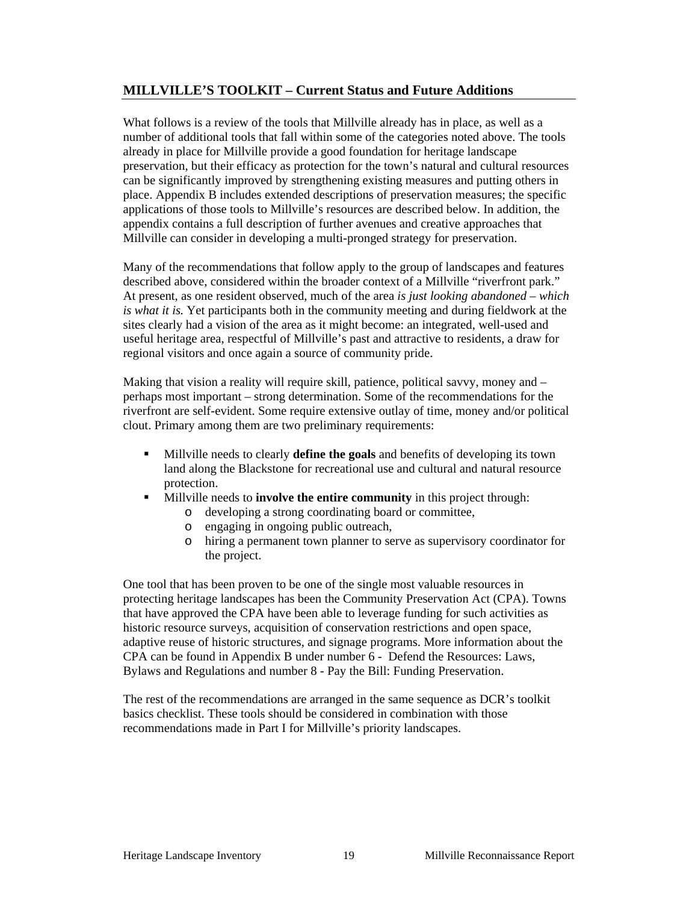## **MILLVILLE'S TOOLKIT – Current Status and Future Additions**

What follows is a review of the tools that Millville already has in place, as well as a number of additional tools that fall within some of the categories noted above. The tools already in place for Millville provide a good foundation for heritage landscape preservation, but their efficacy as protection for the town's natural and cultural resources can be significantly improved by strengthening existing measures and putting others in place. Appendix B includes extended descriptions of preservation measures; the specific applications of those tools to Millville's resources are described below. In addition, the appendix contains a full description of further avenues and creative approaches that Millville can consider in developing a multi-pronged strategy for preservation.

Many of the recommendations that follow apply to the group of landscapes and features described above, considered within the broader context of a Millville "riverfront park." At present, as one resident observed, much of the area *is just looking abandoned – which is what it is.* Yet participants both in the community meeting and during fieldwork at the sites clearly had a vision of the area as it might become: an integrated, well-used and useful heritage area, respectful of Millville's past and attractive to residents, a draw for regional visitors and once again a source of community pride.

Making that vision a reality will require skill, patience, political savvy, money and – perhaps most important – strong determination. Some of the recommendations for the riverfront are self-evident. Some require extensive outlay of time, money and/or political clout. Primary among them are two preliminary requirements:

- Millville needs to clearly **define the goals** and benefits of developing its town land along the Blackstone for recreational use and cultural and natural resource protection.
- Millville needs to **involve the entire community** in this project through:
	- o developing a strong coordinating board or committee,
	- o engaging in ongoing public outreach,
	- o hiring a permanent town planner to serve as supervisory coordinator for the project.

One tool that has been proven to be one of the single most valuable resources in protecting heritage landscapes has been the Community Preservation Act (CPA). Towns that have approved the CPA have been able to leverage funding for such activities as historic resource surveys, acquisition of conservation restrictions and open space, adaptive reuse of historic structures, and signage programs. More information about the CPA can be found in Appendix B under number 6 - Defend the Resources: Laws, Bylaws and Regulations and number 8 - Pay the Bill: Funding Preservation.

The rest of the recommendations are arranged in the same sequence as DCR's toolkit basics checklist. These tools should be considered in combination with those recommendations made in Part I for Millville's priority landscapes.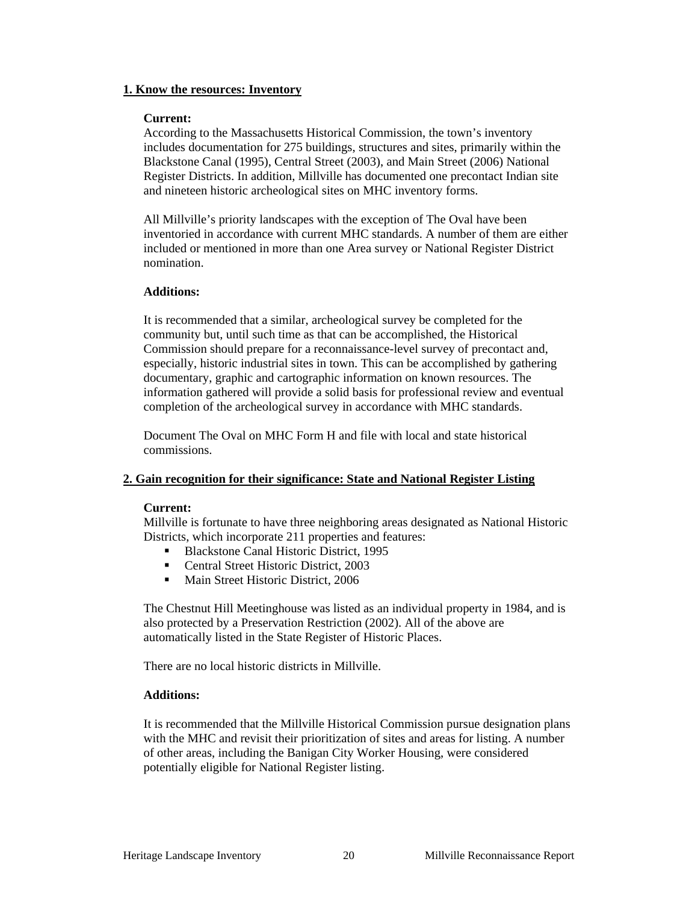#### **1. Know the resources: Inventory**

#### **Current:**

According to the Massachusetts Historical Commission, the town's inventory includes documentation for 275 buildings, structures and sites, primarily within the Blackstone Canal (1995), Central Street (2003), and Main Street (2006) National Register Districts. In addition, Millville has documented one precontact Indian site and nineteen historic archeological sites on MHC inventory forms.

All Millville's priority landscapes with the exception of The Oval have been inventoried in accordance with current MHC standards. A number of them are either included or mentioned in more than one Area survey or National Register District nomination.

#### **Additions:**

It is recommended that a similar, archeological survey be completed for the community but, until such time as that can be accomplished, the Historical Commission should prepare for a reconnaissance-level survey of precontact and, especially, historic industrial sites in town. This can be accomplished by gathering documentary, graphic and cartographic information on known resources. The information gathered will provide a solid basis for professional review and eventual completion of the archeological survey in accordance with MHC standards.

Document The Oval on MHC Form H and file with local and state historical commissions.

#### **2. Gain recognition for their significance: State and National Register Listing**

#### **Current:**

Millville is fortunate to have three neighboring areas designated as National Historic Districts, which incorporate 211 properties and features:

- Blackstone Canal Historic District, 1995
- **Central Street Historic District, 2003**
- **Main Street Historic District, 2006**

The Chestnut Hill Meetinghouse was listed as an individual property in 1984, and is also protected by a Preservation Restriction (2002). All of the above are automatically listed in the State Register of Historic Places.

There are no local historic districts in Millville.

#### **Additions:**

It is recommended that the Millville Historical Commission pursue designation plans with the MHC and revisit their prioritization of sites and areas for listing. A number of other areas, including the Banigan City Worker Housing, were considered potentially eligible for National Register listing.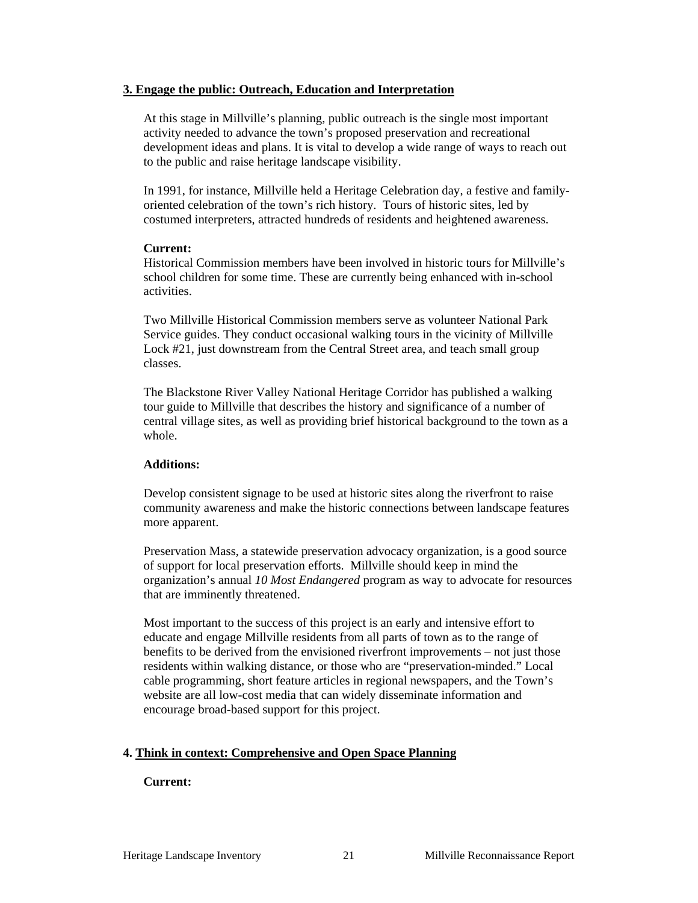#### **3. Engage the public: Outreach, Education and Interpretation**

At this stage in Millville's planning, public outreach is the single most important activity needed to advance the town's proposed preservation and recreational development ideas and plans. It is vital to develop a wide range of ways to reach out to the public and raise heritage landscape visibility.

In 1991, for instance, Millville held a Heritage Celebration day, a festive and familyoriented celebration of the town's rich history. Tours of historic sites, led by costumed interpreters, attracted hundreds of residents and heightened awareness.

#### **Current:**

Historical Commission members have been involved in historic tours for Millville's school children for some time. These are currently being enhanced with in-school activities.

Two Millville Historical Commission members serve as volunteer National Park Service guides. They conduct occasional walking tours in the vicinity of Millville Lock #21, just downstream from the Central Street area, and teach small group classes.

The Blackstone River Valley National Heritage Corridor has published a walking tour guide to Millville that describes the history and significance of a number of central village sites, as well as providing brief historical background to the town as a whole.

#### **Additions:**

Develop consistent signage to be used at historic sites along the riverfront to raise community awareness and make the historic connections between landscape features more apparent.

Preservation Mass, a statewide preservation advocacy organization, is a good source of support for local preservation efforts. Millville should keep in mind the organization's annual *10 Most Endangered* program as way to advocate for resources that are imminently threatened.

Most important to the success of this project is an early and intensive effort to educate and engage Millville residents from all parts of town as to the range of benefits to be derived from the envisioned riverfront improvements – not just those residents within walking distance, or those who are "preservation-minded." Local cable programming, short feature articles in regional newspapers, and the Town's website are all low-cost media that can widely disseminate information and encourage broad-based support for this project.

#### **4. Think in context: Comprehensive and Open Space Planning**

#### **Current:**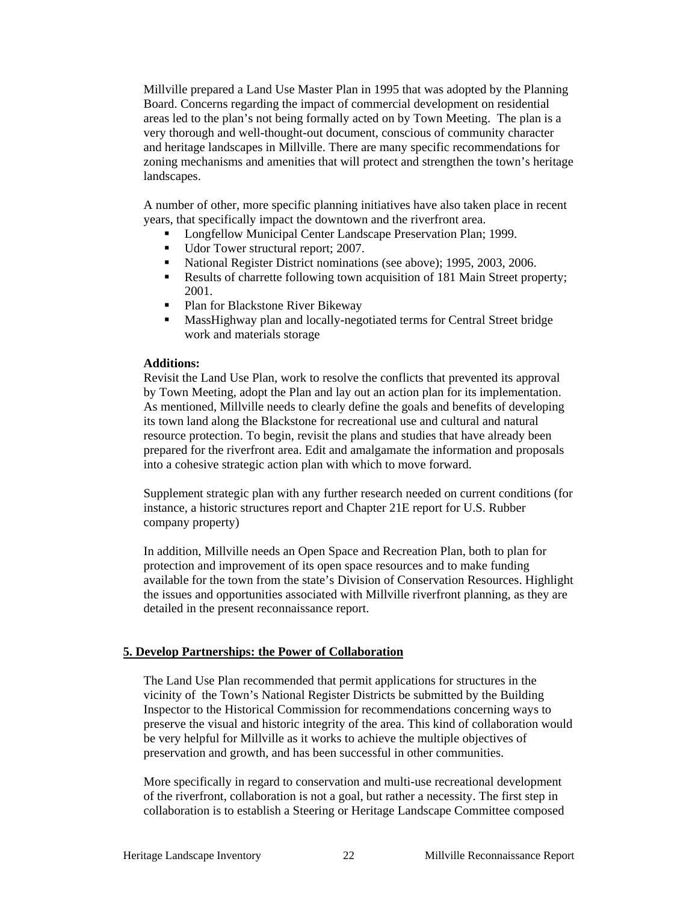Millville prepared a Land Use Master Plan in 1995 that was adopted by the Planning Board. Concerns regarding the impact of commercial development on residential areas led to the plan's not being formally acted on by Town Meeting. The plan is a very thorough and well-thought-out document, conscious of community character and heritage landscapes in Millville. There are many specific recommendations for zoning mechanisms and amenities that will protect and strengthen the town's heritage landscapes.

A number of other, more specific planning initiatives have also taken place in recent years, that specifically impact the downtown and the riverfront area.

- Longfellow Municipal Center Landscape Preservation Plan; 1999.
- Udor Tower structural report; 2007.
- National Register District nominations (see above); 1995, 2003, 2006.
- Results of charrette following town acquisition of 181 Main Street property; 2001.
- Plan for Blackstone River Bikeway
- MassHighway plan and locally-negotiated terms for Central Street bridge work and materials storage

#### **Additions:**

Revisit the Land Use Plan, work to resolve the conflicts that prevented its approval by Town Meeting, adopt the Plan and lay out an action plan for its implementation. As mentioned, Millville needs to clearly define the goals and benefits of developing its town land along the Blackstone for recreational use and cultural and natural resource protection. To begin, revisit the plans and studies that have already been prepared for the riverfront area. Edit and amalgamate the information and proposals into a cohesive strategic action plan with which to move forward.

Supplement strategic plan with any further research needed on current conditions (for instance, a historic structures report and Chapter 21E report for U.S. Rubber company property)

In addition, Millville needs an Open Space and Recreation Plan, both to plan for protection and improvement of its open space resources and to make funding available for the town from the state's Division of Conservation Resources. Highlight the issues and opportunities associated with Millville riverfront planning, as they are detailed in the present reconnaissance report.

#### **5. Develop Partnerships: the Power of Collaboration**

The Land Use Plan recommended that permit applications for structures in the vicinity of the Town's National Register Districts be submitted by the Building Inspector to the Historical Commission for recommendations concerning ways to preserve the visual and historic integrity of the area. This kind of collaboration would be very helpful for Millville as it works to achieve the multiple objectives of preservation and growth, and has been successful in other communities.

More specifically in regard to conservation and multi-use recreational development of the riverfront, collaboration is not a goal, but rather a necessity. The first step in collaboration is to establish a Steering or Heritage Landscape Committee composed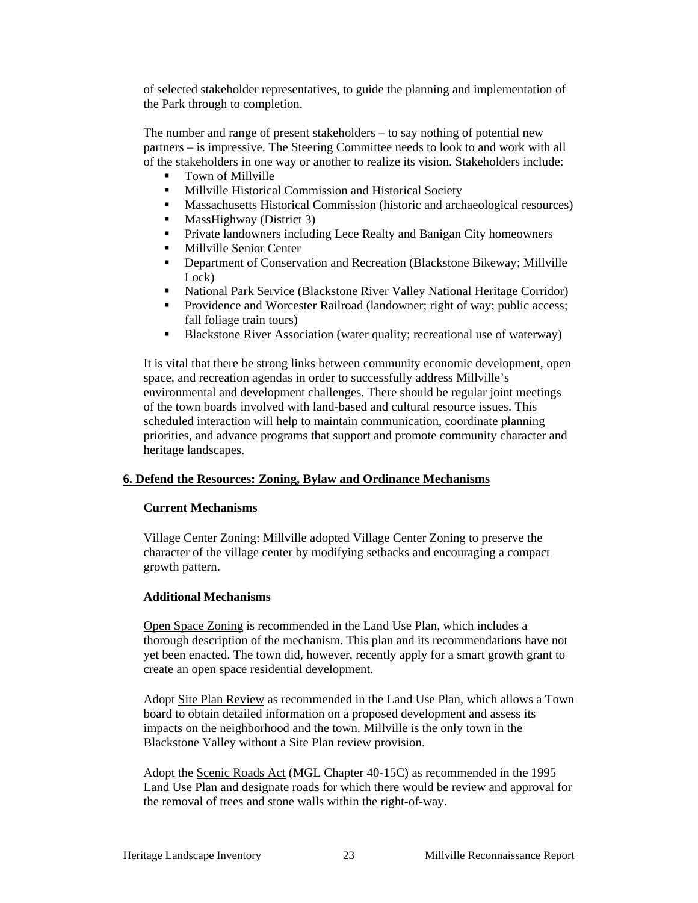of selected stakeholder representatives, to guide the planning and implementation of the Park through to completion.

The number and range of present stakeholders – to say nothing of potential new partners – is impressive. The Steering Committee needs to look to and work with all of the stakeholders in one way or another to realize its vision. Stakeholders include:

- **Town of Millville**
- **Millville Historical Commission and Historical Society**
- Massachusetts Historical Commission (historic and archaeological resources)
- $\blacksquare$  MassHighway (District 3)
- **Private landowners including Lece Realty and Banigan City homeowners**
- **Millyille Senior Center**
- **•** Department of Conservation and Recreation (Blackstone Bikeway; Millville Lock)
- National Park Service (Blackstone River Valley National Heritage Corridor)
- **Providence and Worcester Railroad (landowner; right of way; public access;** fall foliage train tours)
- Blackstone River Association (water quality; recreational use of waterway)

It is vital that there be strong links between community economic development, open space, and recreation agendas in order to successfully address Millville's environmental and development challenges. There should be regular joint meetings of the town boards involved with land-based and cultural resource issues. This scheduled interaction will help to maintain communication, coordinate planning priorities, and advance programs that support and promote community character and heritage landscapes.

#### **6. Defend the Resources: Zoning, Bylaw and Ordinance Mechanisms**

#### **Current Mechanisms**

Village Center Zoning: Millville adopted Village Center Zoning to preserve the character of the village center by modifying setbacks and encouraging a compact growth pattern.

#### **Additional Mechanisms**

Open Space Zoning is recommended in the Land Use Plan, which includes a thorough description of the mechanism. This plan and its recommendations have not yet been enacted. The town did, however, recently apply for a smart growth grant to create an open space residential development.

Adopt Site Plan Review as recommended in the Land Use Plan, which allows a Town board to obtain detailed information on a proposed development and assess its impacts on the neighborhood and the town. Millville is the only town in the Blackstone Valley without a Site Plan review provision.

Adopt the Scenic Roads Act (MGL Chapter 40-15C) as recommended in the 1995 Land Use Plan and designate roads for which there would be review and approval for the removal of trees and stone walls within the right-of-way.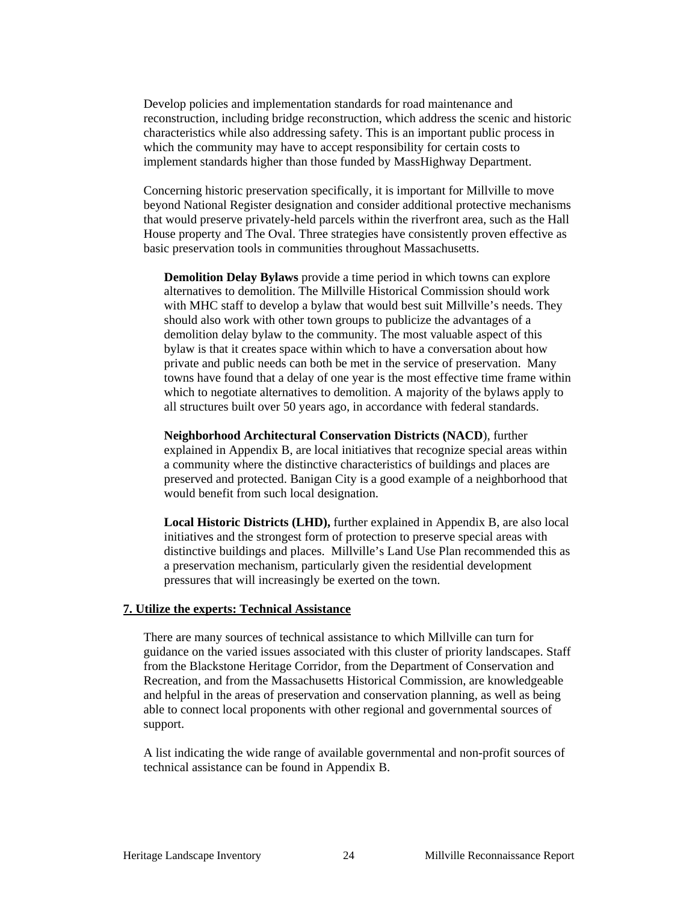Develop policies and implementation standards for road maintenance and reconstruction, including bridge reconstruction, which address the scenic and historic characteristics while also addressing safety. This is an important public process in which the community may have to accept responsibility for certain costs to implement standards higher than those funded by MassHighway Department.

Concerning historic preservation specifically, it is important for Millville to move beyond National Register designation and consider additional protective mechanisms that would preserve privately-held parcels within the riverfront area, such as the Hall House property and The Oval. Three strategies have consistently proven effective as basic preservation tools in communities throughout Massachusetts.

**Demolition Delay Bylaws** provide a time period in which towns can explore alternatives to demolition. The Millville Historical Commission should work with MHC staff to develop a bylaw that would best suit Millville's needs. They should also work with other town groups to publicize the advantages of a demolition delay bylaw to the community. The most valuable aspect of this bylaw is that it creates space within which to have a conversation about how private and public needs can both be met in the service of preservation. Many towns have found that a delay of one year is the most effective time frame within which to negotiate alternatives to demolition. A majority of the bylaws apply to all structures built over 50 years ago, in accordance with federal standards.

**Neighborhood Architectural Conservation Districts (NACD**), further explained in Appendix B, are local initiatives that recognize special areas within a community where the distinctive characteristics of buildings and places are preserved and protected. Banigan City is a good example of a neighborhood that would benefit from such local designation.

**Local Historic Districts (LHD),** further explained in Appendix B, are also local initiatives and the strongest form of protection to preserve special areas with distinctive buildings and places. Millville's Land Use Plan recommended this as a preservation mechanism, particularly given the residential development pressures that will increasingly be exerted on the town.

#### **7. Utilize the experts: Technical Assistance**

There are many sources of technical assistance to which Millville can turn for guidance on the varied issues associated with this cluster of priority landscapes. Staff from the Blackstone Heritage Corridor, from the Department of Conservation and Recreation, and from the Massachusetts Historical Commission, are knowledgeable and helpful in the areas of preservation and conservation planning, as well as being able to connect local proponents with other regional and governmental sources of support.

A list indicating the wide range of available governmental and non-profit sources of technical assistance can be found in Appendix B.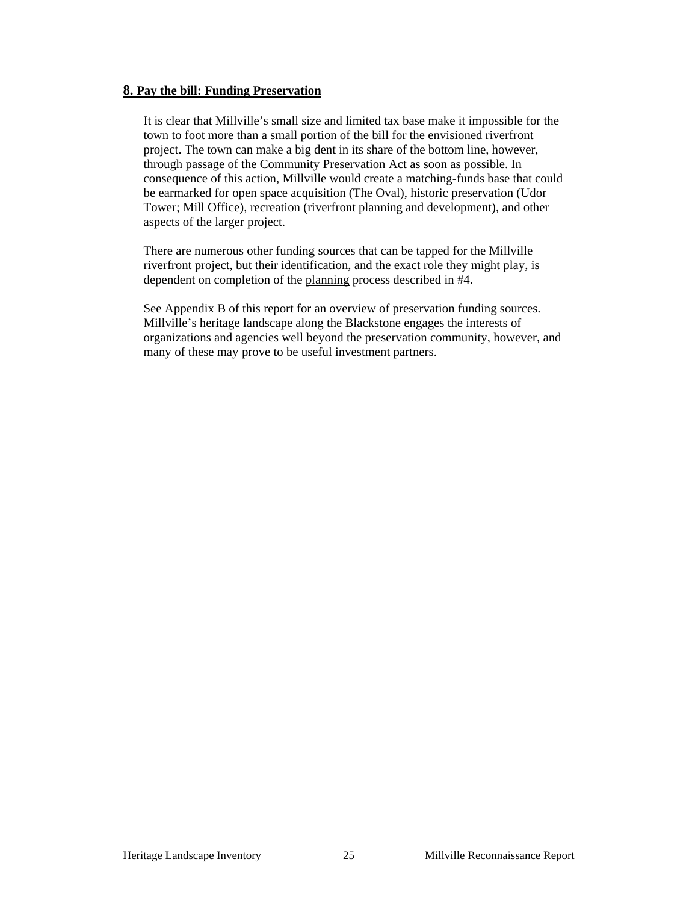#### **8. Pay the bill: Funding Preservation**

It is clear that Millville's small size and limited tax base make it impossible for the town to foot more than a small portion of the bill for the envisioned riverfront project. The town can make a big dent in its share of the bottom line, however, through passage of the Community Preservation Act as soon as possible. In consequence of this action, Millville would create a matching-funds base that could be earmarked for open space acquisition (The Oval), historic preservation (Udor Tower; Mill Office), recreation (riverfront planning and development), and other aspects of the larger project.

There are numerous other funding sources that can be tapped for the Millville riverfront project, but their identification, and the exact role they might play, is dependent on completion of the planning process described in #4.

See Appendix B of this report for an overview of preservation funding sources. Millville's heritage landscape along the Blackstone engages the interests of organizations and agencies well beyond the preservation community, however, and many of these may prove to be useful investment partners.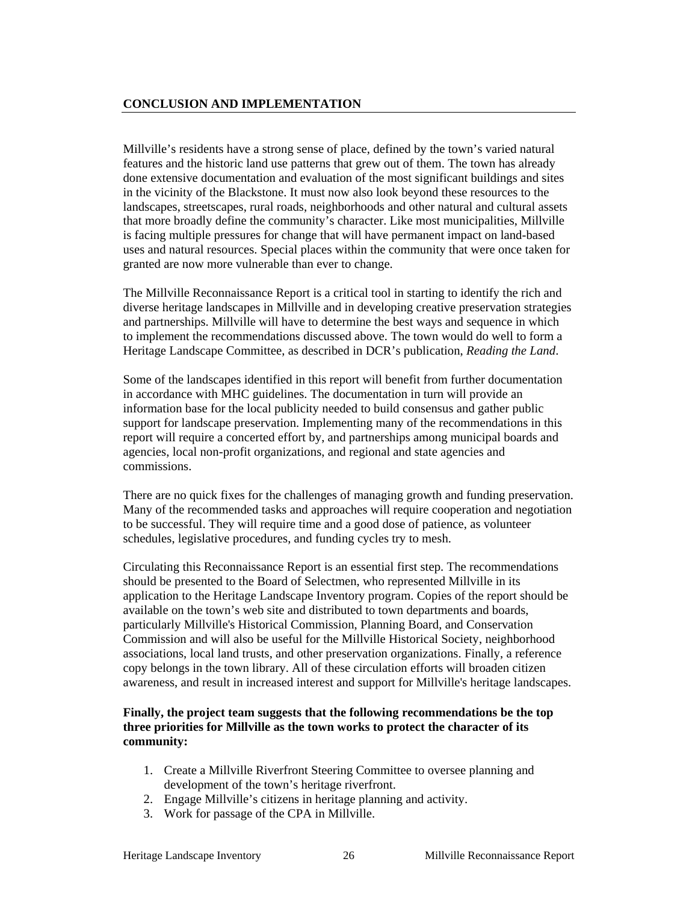#### **CONCLUSION AND IMPLEMENTATION**

Millville's residents have a strong sense of place, defined by the town's varied natural features and the historic land use patterns that grew out of them. The town has already done extensive documentation and evaluation of the most significant buildings and sites in the vicinity of the Blackstone. It must now also look beyond these resources to the landscapes, streetscapes, rural roads, neighborhoods and other natural and cultural assets that more broadly define the community's character. Like most municipalities, Millville is facing multiple pressures for change that will have permanent impact on land-based uses and natural resources. Special places within the community that were once taken for granted are now more vulnerable than ever to change.

The Millville Reconnaissance Report is a critical tool in starting to identify the rich and diverse heritage landscapes in Millville and in developing creative preservation strategies and partnerships. Millville will have to determine the best ways and sequence in which to implement the recommendations discussed above. The town would do well to form a Heritage Landscape Committee, as described in DCR's publication, *Reading the Land*.

Some of the landscapes identified in this report will benefit from further documentation in accordance with MHC guidelines. The documentation in turn will provide an information base for the local publicity needed to build consensus and gather public support for landscape preservation. Implementing many of the recommendations in this report will require a concerted effort by, and partnerships among municipal boards and agencies, local non-profit organizations, and regional and state agencies and commissions.

There are no quick fixes for the challenges of managing growth and funding preservation. Many of the recommended tasks and approaches will require cooperation and negotiation to be successful. They will require time and a good dose of patience, as volunteer schedules, legislative procedures, and funding cycles try to mesh.

Circulating this Reconnaissance Report is an essential first step. The recommendations should be presented to the Board of Selectmen, who represented Millville in its application to the Heritage Landscape Inventory program. Copies of the report should be available on the town's web site and distributed to town departments and boards, particularly Millville's Historical Commission, Planning Board, and Conservation Commission and will also be useful for the Millville Historical Society, neighborhood associations, local land trusts, and other preservation organizations. Finally, a reference copy belongs in the town library. All of these circulation efforts will broaden citizen awareness, and result in increased interest and support for Millville's heritage landscapes.

#### **Finally, the project team suggests that the following recommendations be the top three priorities for Millville as the town works to protect the character of its community:**

- 1. Create a Millville Riverfront Steering Committee to oversee planning and development of the town's heritage riverfront.
- 2. Engage Millville's citizens in heritage planning and activity.
- 3. Work for passage of the CPA in Millville.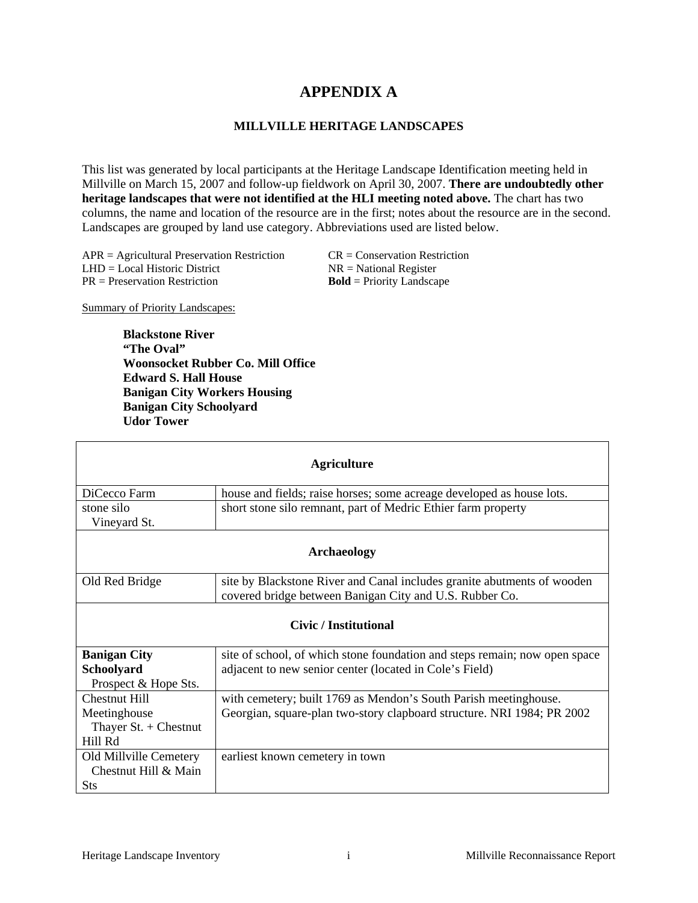## **APPENDIX A**

#### **MILLVILLE HERITAGE LANDSCAPES**

This list was generated by local participants at the Heritage Landscape Identification meeting held in Millville on March 15, 2007 and follow-up fieldwork on April 30, 2007. **There are undoubtedly other heritage landscapes that were not identified at the HLI meeting noted above.** The chart has two columns, the name and location of the resource are in the first; notes about the resource are in the second. Landscapes are grouped by land use category. Abbreviations used are listed below.

 $APR =$  Agricultural Preservation Restriction CR = Conservation Restriction  $LHD = Local Historic District$   $NR = National Register$ PR = Preservation Restriction **Bold** = Priority Landscape

Summary of Priority Landscapes:

**Blackstone River "The Oval" Woonsocket Rubber Co. Mill Office Edward S. Hall House Banigan City Workers Housing Banigan City Schoolyard Udor Tower** 

| <b>Agriculture</b>                                                         |                                                                                                                                            |  |  |
|----------------------------------------------------------------------------|--------------------------------------------------------------------------------------------------------------------------------------------|--|--|
| DiCecco Farm                                                               | house and fields; raise horses; some acreage developed as house lots.                                                                      |  |  |
| stone silo<br>Vineyard St.                                                 | short stone silo remnant, part of Medric Ethier farm property                                                                              |  |  |
| <b>Archaeology</b>                                                         |                                                                                                                                            |  |  |
| Old Red Bridge                                                             | site by Blackstone River and Canal includes granite abutments of wooden<br>covered bridge between Banigan City and U.S. Rubber Co.         |  |  |
| <b>Civic</b> / Institutional                                               |                                                                                                                                            |  |  |
| <b>Banigan City</b><br>Schoolyard<br>Prospect & Hope Sts.                  | site of school, of which stone foundation and steps remain; now open space<br>adjacent to new senior center (located in Cole's Field)      |  |  |
| <b>Chestnut Hill</b><br>Meetinghouse<br>Thayer $St. +$ Chestnut<br>Hill Rd | with cemetery; built 1769 as Mendon's South Parish meetinghouse.<br>Georgian, square-plan two-story clapboard structure. NRI 1984; PR 2002 |  |  |
| Old Millville Cemetery<br>Chestnut Hill & Main<br><b>Sts</b>               | earliest known cemetery in town                                                                                                            |  |  |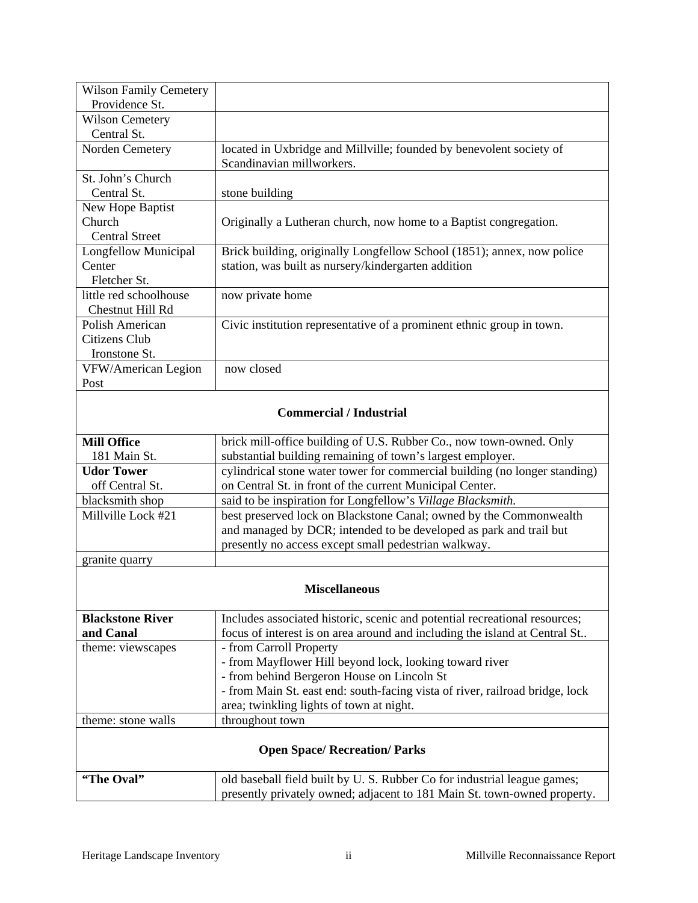| <b>Wilson Family Cemetery</b>        |                                                                              |  |  |
|--------------------------------------|------------------------------------------------------------------------------|--|--|
| Providence St.                       |                                                                              |  |  |
| <b>Wilson Cemetery</b>               |                                                                              |  |  |
| Central St.                          |                                                                              |  |  |
| Norden Cemetery                      | located in Uxbridge and Millville; founded by benevolent society of          |  |  |
|                                      | Scandinavian millworkers.                                                    |  |  |
| St. John's Church                    |                                                                              |  |  |
| Central St.                          | stone building                                                               |  |  |
| New Hope Baptist                     |                                                                              |  |  |
| Church                               | Originally a Lutheran church, now home to a Baptist congregation.            |  |  |
| <b>Central Street</b>                |                                                                              |  |  |
| Longfellow Municipal                 | Brick building, originally Longfellow School (1851); annex, now police       |  |  |
| Center                               | station, was built as nursery/kindergarten addition                          |  |  |
| Fletcher St.                         |                                                                              |  |  |
| little red schoolhouse               | now private home                                                             |  |  |
| Chestnut Hill Rd                     |                                                                              |  |  |
| Polish American                      | Civic institution representative of a prominent ethnic group in town.        |  |  |
| Citizens Club                        |                                                                              |  |  |
| Ironstone St.                        |                                                                              |  |  |
| VFW/American Legion                  | now closed                                                                   |  |  |
| Post                                 |                                                                              |  |  |
|                                      |                                                                              |  |  |
|                                      | <b>Commercial / Industrial</b>                                               |  |  |
|                                      |                                                                              |  |  |
| <b>Mill Office</b>                   | brick mill-office building of U.S. Rubber Co., now town-owned. Only          |  |  |
| 181 Main St.                         | substantial building remaining of town's largest employer.                   |  |  |
| <b>Udor Tower</b>                    | cylindrical stone water tower for commercial building (no longer standing)   |  |  |
| off Central St.                      | on Central St. in front of the current Municipal Center.                     |  |  |
| blacksmith shop                      | said to be inspiration for Longfellow's Village Blacksmith.                  |  |  |
| Millville Lock #21                   | best preserved lock on Blackstone Canal; owned by the Commonwealth           |  |  |
|                                      | and managed by DCR; intended to be developed as park and trail but           |  |  |
|                                      | presently no access except small pedestrian walkway.                         |  |  |
| granite quarry                       |                                                                              |  |  |
|                                      |                                                                              |  |  |
| <b>Miscellaneous</b>                 |                                                                              |  |  |
| <b>Blackstone River</b>              | Includes associated historic, scenic and potential recreational resources;   |  |  |
| and Canal                            | focus of interest is on area around and including the island at Central St   |  |  |
| theme: viewscapes                    | - from Carroll Property                                                      |  |  |
|                                      | - from Mayflower Hill beyond lock, looking toward river                      |  |  |
|                                      | - from behind Bergeron House on Lincoln St                                   |  |  |
|                                      | - from Main St. east end: south-facing vista of river, railroad bridge, lock |  |  |
|                                      | area; twinkling lights of town at night.                                     |  |  |
| theme: stone walls                   | throughout town                                                              |  |  |
|                                      |                                                                              |  |  |
| <b>Open Space/ Recreation/ Parks</b> |                                                                              |  |  |
|                                      |                                                                              |  |  |
| "The Oval"                           | old baseball field built by U.S. Rubber Co for industrial league games;      |  |  |
|                                      | presently privately owned; adjacent to 181 Main St. town-owned property.     |  |  |
|                                      |                                                                              |  |  |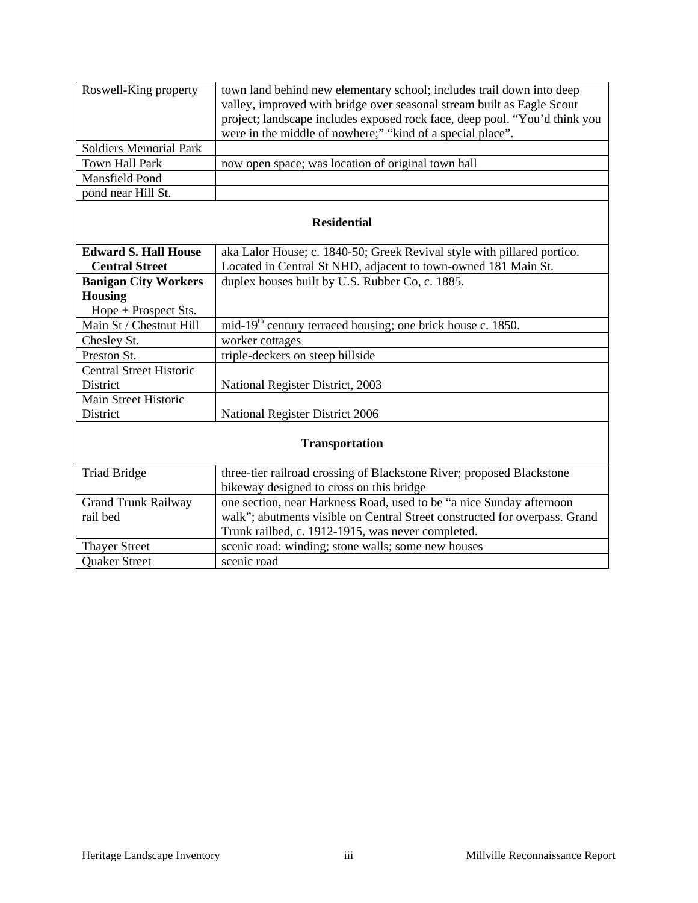| Roswell-King property          | town land behind new elementary school; includes trail down into deep      |  |
|--------------------------------|----------------------------------------------------------------------------|--|
|                                | valley, improved with bridge over seasonal stream built as Eagle Scout     |  |
|                                | project; landscape includes exposed rock face, deep pool. "You'd think you |  |
|                                | were in the middle of nowhere;" "kind of a special place".                 |  |
| <b>Soldiers Memorial Park</b>  |                                                                            |  |
| <b>Town Hall Park</b>          | now open space; was location of original town hall                         |  |
| Mansfield Pond                 |                                                                            |  |
| pond near Hill St.             |                                                                            |  |
|                                |                                                                            |  |
| <b>Residential</b>             |                                                                            |  |
| <b>Edward S. Hall House</b>    | aka Lalor House; c. 1840-50; Greek Revival style with pillared portico.    |  |
| <b>Central Street</b>          | Located in Central St NHD, adjacent to town-owned 181 Main St.             |  |
| <b>Banigan City Workers</b>    | duplex houses built by U.S. Rubber Co, c. 1885.                            |  |
| <b>Housing</b>                 |                                                                            |  |
| Hope + Prospect Sts.           |                                                                            |  |
| Main St / Chestnut Hill        | mid-19 <sup>th</sup> century terraced housing; one brick house c. 1850.    |  |
| Chesley St.                    | worker cottages                                                            |  |
| Preston St.                    | triple-deckers on steep hillside                                           |  |
| <b>Central Street Historic</b> |                                                                            |  |
| District                       | National Register District, 2003                                           |  |
| Main Street Historic           |                                                                            |  |
| District                       | National Register District 2006                                            |  |
|                                |                                                                            |  |
| <b>Transportation</b>          |                                                                            |  |
| <b>Triad Bridge</b>            | three-tier railroad crossing of Blackstone River; proposed Blackstone      |  |
|                                | bikeway designed to cross on this bridge                                   |  |
| <b>Grand Trunk Railway</b>     | one section, near Harkness Road, used to be "a nice Sunday afternoon       |  |
| rail bed                       | walk"; abutments visible on Central Street constructed for overpass. Grand |  |
|                                | Trunk railbed, c. 1912-1915, was never completed.                          |  |
| <b>Thayer Street</b>           | scenic road: winding; stone walls; some new houses                         |  |
| <b>Quaker Street</b>           | scenic road                                                                |  |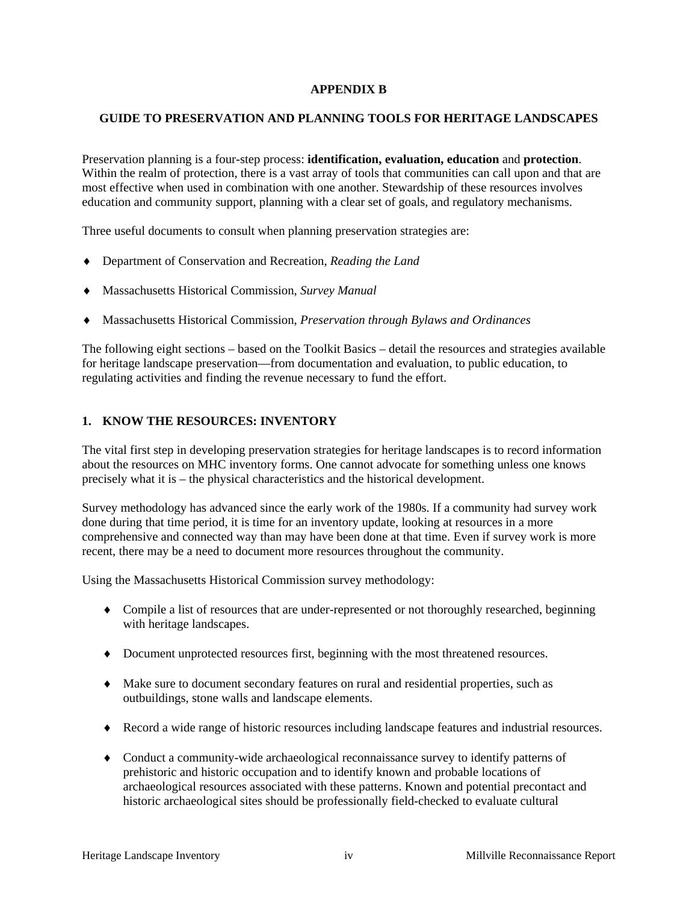#### **APPENDIX B**

#### **GUIDE TO PRESERVATION AND PLANNING TOOLS FOR HERITAGE LANDSCAPES**

Preservation planning is a four-step process: **identification, evaluation, education** and **protection**. Within the realm of protection, there is a vast array of tools that communities can call upon and that are most effective when used in combination with one another. Stewardship of these resources involves education and community support, planning with a clear set of goals, and regulatory mechanisms.

Three useful documents to consult when planning preservation strategies are:

- ♦ Department of Conservation and Recreation, *Reading the Land*
- ♦ Massachusetts Historical Commission, *Survey Manual*
- ♦ Massachusetts Historical Commission, *Preservation through Bylaws and Ordinances*

The following eight sections – based on the Toolkit Basics – detail the resources and strategies available for heritage landscape preservation—from documentation and evaluation, to public education, to regulating activities and finding the revenue necessary to fund the effort.

#### **1. KNOW THE RESOURCES: INVENTORY**

The vital first step in developing preservation strategies for heritage landscapes is to record information about the resources on MHC inventory forms. One cannot advocate for something unless one knows precisely what it is – the physical characteristics and the historical development.

Survey methodology has advanced since the early work of the 1980s. If a community had survey work done during that time period, it is time for an inventory update, looking at resources in a more comprehensive and connected way than may have been done at that time. Even if survey work is more recent, there may be a need to document more resources throughout the community.

Using the Massachusetts Historical Commission survey methodology:

- ♦ Compile a list of resources that are under-represented or not thoroughly researched, beginning with heritage landscapes.
- ♦ Document unprotected resources first, beginning with the most threatened resources.
- ♦ Make sure to document secondary features on rural and residential properties, such as outbuildings, stone walls and landscape elements.
- ♦ Record a wide range of historic resources including landscape features and industrial resources.
- ♦ Conduct a community-wide archaeological reconnaissance survey to identify patterns of prehistoric and historic occupation and to identify known and probable locations of archaeological resources associated with these patterns. Known and potential precontact and historic archaeological sites should be professionally field-checked to evaluate cultural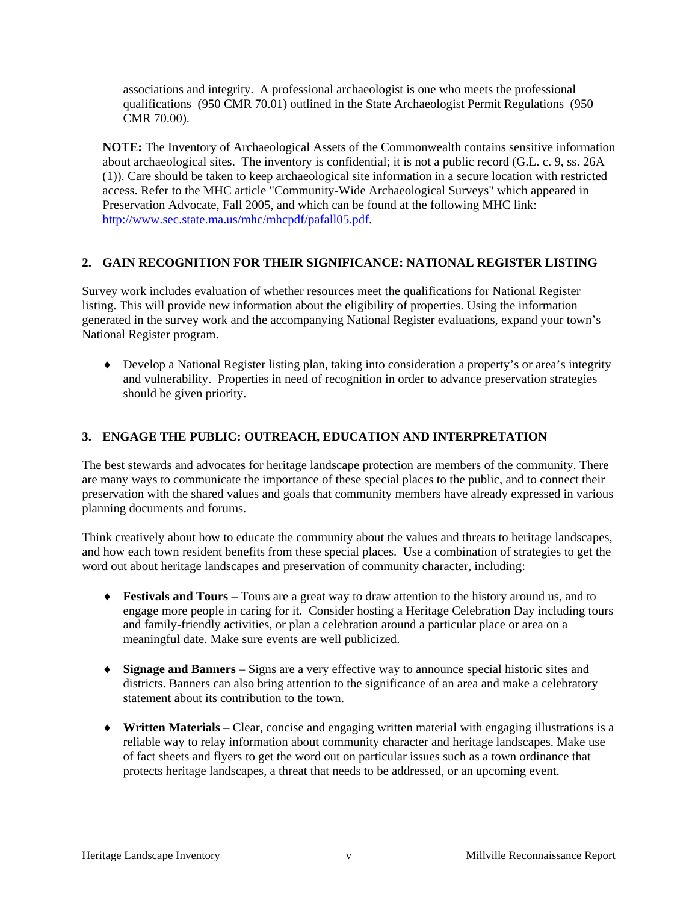associations and integrity. A professional archaeologist is one who meets the professional qualifications (950 CMR 70.01) outlined in the State Archaeologist Permit Regulations (950 CMR 70.00).

**NOTE:** The Inventory of Archaeological Assets of the Commonwealth contains sensitive information about archaeological sites. The inventory is confidential; it is not a public record (G.L. c. 9, ss. 26A (1)). Care should be taken to keep archaeological site information in a secure location with restricted access. Refer to the MHC article "Community-Wide Archaeological Surveys" which appeared in Preservation Advocate, Fall 2005, and which can be found at the following MHC link: http://www.sec.state.ma.us/mhc/mhcpdf/pafall05.pdf.

#### **2. GAIN RECOGNITION FOR THEIR SIGNIFICANCE: NATIONAL REGISTER LISTING**

Survey work includes evaluation of whether resources meet the qualifications for National Register listing. This will provide new information about the eligibility of properties. Using the information generated in the survey work and the accompanying National Register evaluations, expand your town's National Register program.

♦ Develop a National Register listing plan, taking into consideration a property's or area's integrity and vulnerability. Properties in need of recognition in order to advance preservation strategies should be given priority.

#### **3. ENGAGE THE PUBLIC: OUTREACH, EDUCATION AND INTERPRETATION**

The best stewards and advocates for heritage landscape protection are members of the community. There are many ways to communicate the importance of these special places to the public, and to connect their preservation with the shared values and goals that community members have already expressed in various planning documents and forums.

Think creatively about how to educate the community about the values and threats to heritage landscapes, and how each town resident benefits from these special places. Use a combination of strategies to get the word out about heritage landscapes and preservation of community character, including:

- ♦ **Festivals and Tours** Tours are a great way to draw attention to the history around us, and to engage more people in caring for it. Consider hosting a Heritage Celebration Day including tours and family-friendly activities, or plan a celebration around a particular place or area on a meaningful date. Make sure events are well publicized.
- ♦ **Signage and Banners** Signs are a very effective way to announce special historic sites and districts. Banners can also bring attention to the significance of an area and make a celebratory statement about its contribution to the town.
- ♦ **Written Materials** Clear, concise and engaging written material with engaging illustrations is a reliable way to relay information about community character and heritage landscapes. Make use of fact sheets and flyers to get the word out on particular issues such as a town ordinance that protects heritage landscapes, a threat that needs to be addressed, or an upcoming event.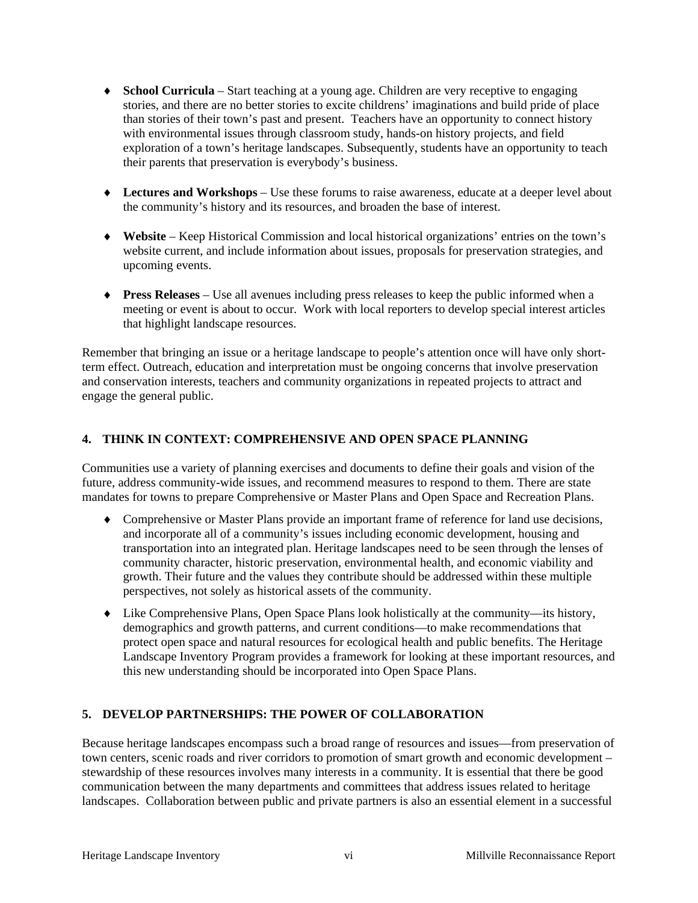- ♦ **School Curricula** Start teaching at a young age. Children are very receptive to engaging stories, and there are no better stories to excite childrens' imaginations and build pride of place than stories of their town's past and present. Teachers have an opportunity to connect history with environmental issues through classroom study, hands-on history projects, and field exploration of a town's heritage landscapes. Subsequently, students have an opportunity to teach their parents that preservation is everybody's business.
- ♦ **Lectures and Workshops** Use these forums to raise awareness, educate at a deeper level about the community's history and its resources, and broaden the base of interest.
- ♦ **Website** Keep Historical Commission and local historical organizations' entries on the town's website current, and include information about issues, proposals for preservation strategies, and upcoming events.
- ♦ **Press Releases** Use all avenues including press releases to keep the public informed when a meeting or event is about to occur. Work with local reporters to develop special interest articles that highlight landscape resources.

Remember that bringing an issue or a heritage landscape to people's attention once will have only shortterm effect. Outreach, education and interpretation must be ongoing concerns that involve preservation and conservation interests, teachers and community organizations in repeated projects to attract and engage the general public.

#### **4. THINK IN CONTEXT: COMPREHENSIVE AND OPEN SPACE PLANNING**

Communities use a variety of planning exercises and documents to define their goals and vision of the future, address community-wide issues, and recommend measures to respond to them. There are state mandates for towns to prepare Comprehensive or Master Plans and Open Space and Recreation Plans.

- ♦ Comprehensive or Master Plans provide an important frame of reference for land use decisions, and incorporate all of a community's issues including economic development, housing and transportation into an integrated plan. Heritage landscapes need to be seen through the lenses of community character, historic preservation, environmental health, and economic viability and growth. Their future and the values they contribute should be addressed within these multiple perspectives, not solely as historical assets of the community.
- ♦ Like Comprehensive Plans, Open Space Plans look holistically at the community—its history, demographics and growth patterns, and current conditions—to make recommendations that protect open space and natural resources for ecological health and public benefits. The Heritage Landscape Inventory Program provides a framework for looking at these important resources, and this new understanding should be incorporated into Open Space Plans.

#### **5. DEVELOP PARTNERSHIPS: THE POWER OF COLLABORATION**

Because heritage landscapes encompass such a broad range of resources and issues—from preservation of town centers, scenic roads and river corridors to promotion of smart growth and economic development – stewardship of these resources involves many interests in a community. It is essential that there be good communication between the many departments and committees that address issues related to heritage landscapes. Collaboration between public and private partners is also an essential element in a successful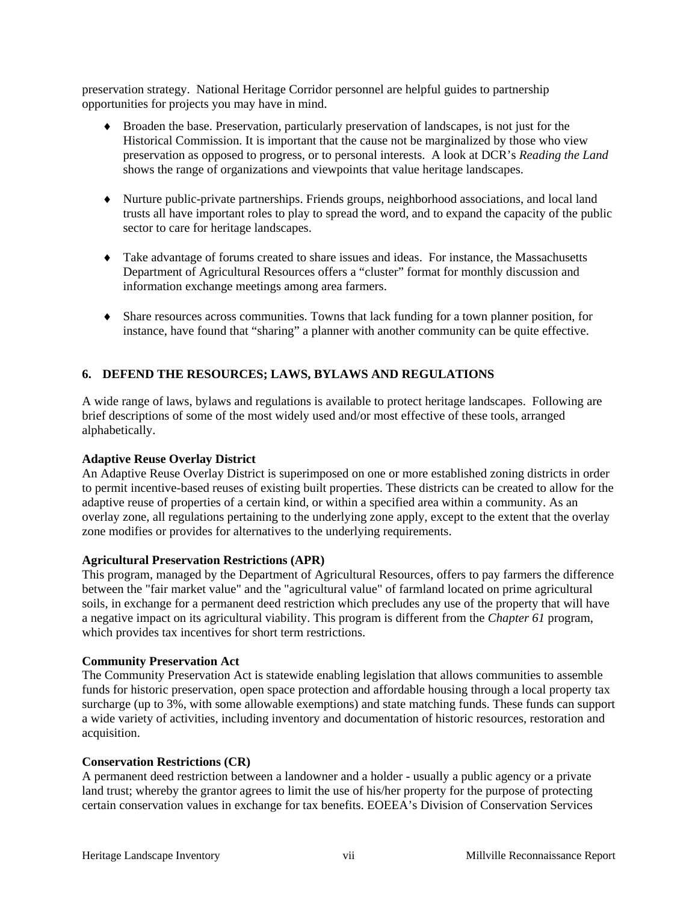preservation strategy. National Heritage Corridor personnel are helpful guides to partnership opportunities for projects you may have in mind.

- ♦ Broaden the base. Preservation, particularly preservation of landscapes, is not just for the Historical Commission. It is important that the cause not be marginalized by those who view preservation as opposed to progress, or to personal interests. A look at DCR's *Reading the Land* shows the range of organizations and viewpoints that value heritage landscapes.
- ♦ Nurture public-private partnerships. Friends groups, neighborhood associations, and local land trusts all have important roles to play to spread the word, and to expand the capacity of the public sector to care for heritage landscapes.
- ♦ Take advantage of forums created to share issues and ideas. For instance, the Massachusetts Department of Agricultural Resources offers a "cluster" format for monthly discussion and information exchange meetings among area farmers.
- ♦ Share resources across communities. Towns that lack funding for a town planner position, for instance, have found that "sharing" a planner with another community can be quite effective.

#### **6. DEFEND THE RESOURCES; LAWS, BYLAWS AND REGULATIONS**

A wide range of laws, bylaws and regulations is available to protect heritage landscapes. Following are brief descriptions of some of the most widely used and/or most effective of these tools, arranged alphabetically.

#### **Adaptive Reuse Overlay District**

An Adaptive Reuse Overlay District is superimposed on one or more established zoning districts in order to permit incentive-based reuses of existing built properties. These districts can be created to allow for the adaptive reuse of properties of a certain kind, or within a specified area within a community. As an overlay zone, all regulations pertaining to the underlying zone apply, except to the extent that the overlay zone modifies or provides for alternatives to the underlying requirements.

#### **Agricultural Preservation Restrictions (APR)**

This program, managed by the Department of Agricultural Resources, offers to pay farmers the difference between the "fair market value" and the "agricultural value" of farmland located on prime agricultural soils, in exchange for a permanent deed restriction which precludes any use of the property that will have a negative impact on its agricultural viability. This program is different from the *Chapter 61* program, which provides tax incentives for short term restrictions.

#### **Community Preservation Act**

The Community Preservation Act is statewide enabling legislation that allows communities to assemble funds for historic preservation, open space protection and affordable housing through a local property tax surcharge (up to 3%, with some allowable exemptions) and state matching funds. These funds can support a wide variety of activities, including inventory and documentation of historic resources, restoration and acquisition.

#### **Conservation Restrictions (CR)**

A permanent deed restriction between a landowner and a holder - usually a public agency or a private land trust; whereby the grantor agrees to limit the use of his/her property for the purpose of protecting certain conservation values in exchange for tax benefits. EOEEA's Division of Conservation Services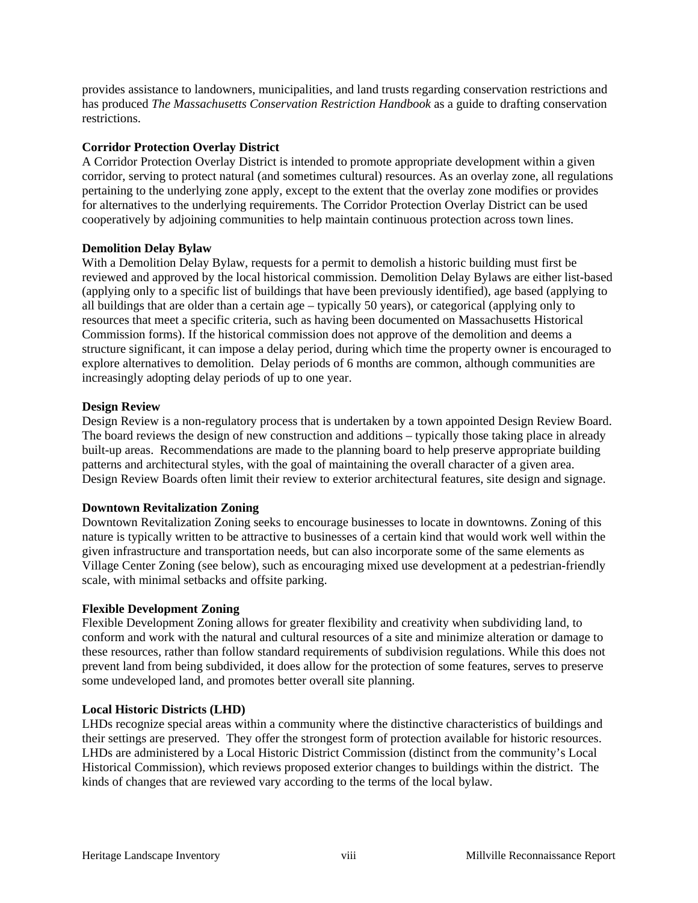provides assistance to landowners, municipalities, and land trusts regarding conservation restrictions and has produced *The Massachusetts Conservation Restriction Handbook* as a guide to drafting conservation restrictions.

#### **Corridor Protection Overlay District**

A Corridor Protection Overlay District is intended to promote appropriate development within a given corridor, serving to protect natural (and sometimes cultural) resources. As an overlay zone, all regulations pertaining to the underlying zone apply, except to the extent that the overlay zone modifies or provides for alternatives to the underlying requirements. The Corridor Protection Overlay District can be used cooperatively by adjoining communities to help maintain continuous protection across town lines.

#### **Demolition Delay Bylaw**

With a Demolition Delay Bylaw, requests for a permit to demolish a historic building must first be reviewed and approved by the local historical commission. Demolition Delay Bylaws are either list-based (applying only to a specific list of buildings that have been previously identified), age based (applying to all buildings that are older than a certain age – typically 50 years), or categorical (applying only to resources that meet a specific criteria, such as having been documented on Massachusetts Historical Commission forms). If the historical commission does not approve of the demolition and deems a structure significant, it can impose a delay period, during which time the property owner is encouraged to explore alternatives to demolition. Delay periods of 6 months are common, although communities are increasingly adopting delay periods of up to one year.

#### **Design Review**

Design Review is a non-regulatory process that is undertaken by a town appointed Design Review Board. The board reviews the design of new construction and additions – typically those taking place in already built-up areas. Recommendations are made to the planning board to help preserve appropriate building patterns and architectural styles, with the goal of maintaining the overall character of a given area. Design Review Boards often limit their review to exterior architectural features, site design and signage.

#### **Downtown Revitalization Zoning**

Downtown Revitalization Zoning seeks to encourage businesses to locate in downtowns. Zoning of this nature is typically written to be attractive to businesses of a certain kind that would work well within the given infrastructure and transportation needs, but can also incorporate some of the same elements as Village Center Zoning (see below), such as encouraging mixed use development at a pedestrian-friendly scale, with minimal setbacks and offsite parking.

#### **Flexible Development Zoning**

Flexible Development Zoning allows for greater flexibility and creativity when subdividing land, to conform and work with the natural and cultural resources of a site and minimize alteration or damage to these resources, rather than follow standard requirements of subdivision regulations. While this does not prevent land from being subdivided, it does allow for the protection of some features, serves to preserve some undeveloped land, and promotes better overall site planning.

#### **Local Historic Districts (LHD)**

LHDs recognize special areas within a community where the distinctive characteristics of buildings and their settings are preserved. They offer the strongest form of protection available for historic resources. LHDs are administered by a Local Historic District Commission (distinct from the community's Local Historical Commission), which reviews proposed exterior changes to buildings within the district. The kinds of changes that are reviewed vary according to the terms of the local bylaw.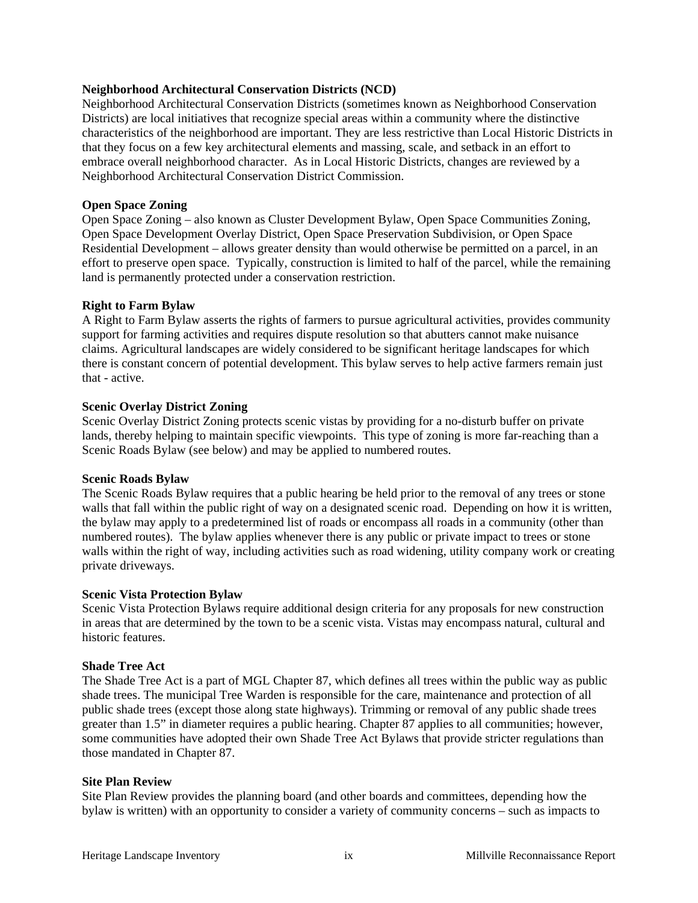#### **Neighborhood Architectural Conservation Districts (NCD)**

Neighborhood Architectural Conservation Districts (sometimes known as Neighborhood Conservation Districts) are local initiatives that recognize special areas within a community where the distinctive characteristics of the neighborhood are important. They are less restrictive than Local Historic Districts in that they focus on a few key architectural elements and massing, scale, and setback in an effort to embrace overall neighborhood character. As in Local Historic Districts, changes are reviewed by a Neighborhood Architectural Conservation District Commission.

#### **Open Space Zoning**

Open Space Zoning – also known as Cluster Development Bylaw, Open Space Communities Zoning, Open Space Development Overlay District, Open Space Preservation Subdivision, or Open Space Residential Development – allows greater density than would otherwise be permitted on a parcel, in an effort to preserve open space. Typically, construction is limited to half of the parcel, while the remaining land is permanently protected under a conservation restriction.

#### **Right to Farm Bylaw**

A Right to Farm Bylaw asserts the rights of farmers to pursue agricultural activities, provides community support for farming activities and requires dispute resolution so that abutters cannot make nuisance claims. Agricultural landscapes are widely considered to be significant heritage landscapes for which there is constant concern of potential development. This bylaw serves to help active farmers remain just that - active.

#### **Scenic Overlay District Zoning**

Scenic Overlay District Zoning protects scenic vistas by providing for a no-disturb buffer on private lands, thereby helping to maintain specific viewpoints. This type of zoning is more far-reaching than a Scenic Roads Bylaw (see below) and may be applied to numbered routes.

#### **Scenic Roads Bylaw**

The Scenic Roads Bylaw requires that a public hearing be held prior to the removal of any trees or stone walls that fall within the public right of way on a designated scenic road. Depending on how it is written, the bylaw may apply to a predetermined list of roads or encompass all roads in a community (other than numbered routes). The bylaw applies whenever there is any public or private impact to trees or stone walls within the right of way, including activities such as road widening, utility company work or creating private driveways.

#### **Scenic Vista Protection Bylaw**

Scenic Vista Protection Bylaws require additional design criteria for any proposals for new construction in areas that are determined by the town to be a scenic vista. Vistas may encompass natural, cultural and historic features.

#### **Shade Tree Act**

The Shade Tree Act is a part of MGL Chapter 87, which defines all trees within the public way as public shade trees. The municipal Tree Warden is responsible for the care, maintenance and protection of all public shade trees (except those along state highways). Trimming or removal of any public shade trees greater than 1.5" in diameter requires a public hearing. Chapter 87 applies to all communities; however, some communities have adopted their own Shade Tree Act Bylaws that provide stricter regulations than those mandated in Chapter 87.

#### **Site Plan Review**

Site Plan Review provides the planning board (and other boards and committees, depending how the bylaw is written) with an opportunity to consider a variety of community concerns – such as impacts to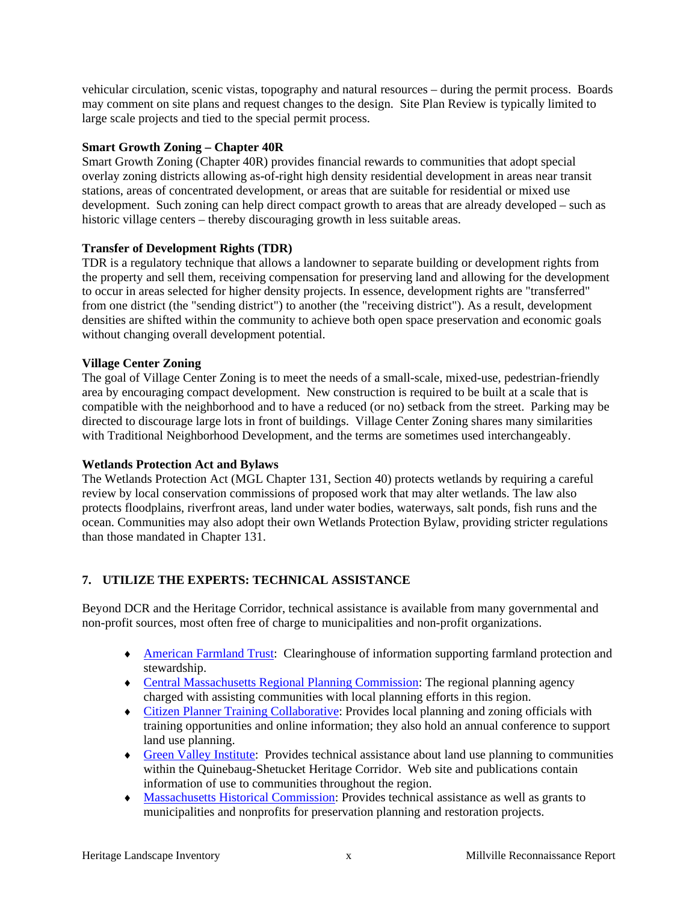vehicular circulation, scenic vistas, topography and natural resources – during the permit process. Boards may comment on site plans and request changes to the design. Site Plan Review is typically limited to large scale projects and tied to the special permit process.

#### **Smart Growth Zoning – Chapter 40R**

Smart Growth Zoning (Chapter 40R) provides financial rewards to communities that adopt special overlay zoning districts allowing as-of-right high density residential development in areas near transit stations, areas of concentrated development, or areas that are suitable for residential or mixed use development. Such zoning can help direct compact growth to areas that are already developed – such as historic village centers – thereby discouraging growth in less suitable areas.

#### **Transfer of Development Rights (TDR)**

TDR is a regulatory technique that allows a landowner to separate building or development rights from the property and sell them, receiving compensation for preserving land and allowing for the development to occur in areas selected for higher density projects. In essence, development rights are "transferred" from one district (the "sending district") to another (the "receiving district"). As a result, development densities are shifted within the community to achieve both open space preservation and economic goals without changing overall development potential.

#### **Village Center Zoning**

The goal of Village Center Zoning is to meet the needs of a small-scale, mixed-use, pedestrian-friendly area by encouraging compact development. New construction is required to be built at a scale that is compatible with the neighborhood and to have a reduced (or no) setback from the street. Parking may be directed to discourage large lots in front of buildings. Village Center Zoning shares many similarities with Traditional Neighborhood Development, and the terms are sometimes used interchangeably.

#### **Wetlands Protection Act and Bylaws**

The Wetlands Protection Act (MGL Chapter 131, Section 40) protects wetlands by requiring a careful review by local conservation commissions of proposed work that may alter wetlands. The law also protects floodplains, riverfront areas, land under water bodies, waterways, salt ponds, fish runs and the ocean. Communities may also adopt their own Wetlands Protection Bylaw, providing stricter regulations than those mandated in Chapter 131.

#### **7. UTILIZE THE EXPERTS: TECHNICAL ASSISTANCE**

Beyond DCR and the Heritage Corridor, technical assistance is available from many governmental and non-profit sources, most often free of charge to municipalities and non-profit organizations.

- ♦ American Farmland Trust: Clearinghouse of information supporting farmland protection and stewardship.
- ♦ Central Massachusetts Regional Planning Commission: The regional planning agency charged with assisting communities with local planning efforts in this region.
- ♦ Citizen Planner Training Collaborative: Provides local planning and zoning officials with training opportunities and online information; they also hold an annual conference to support land use planning.
- ♦ Green Valley Institute: Provides technical assistance about land use planning to communities within the Quinebaug-Shetucket Heritage Corridor. Web site and publications contain information of use to communities throughout the region.
- ♦ Massachusetts Historical Commission: Provides technical assistance as well as grants to municipalities and nonprofits for preservation planning and restoration projects.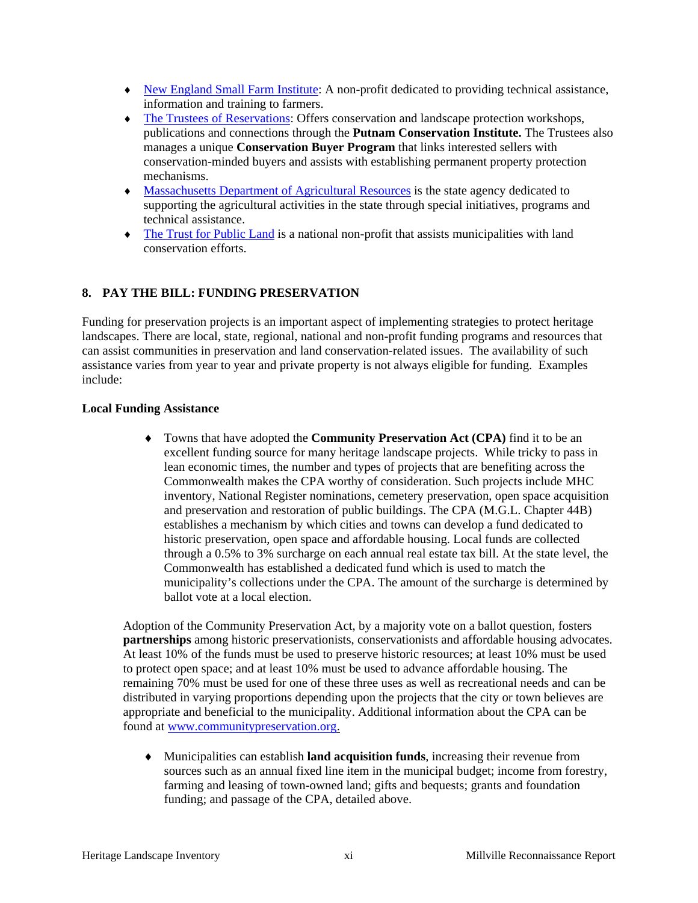- ♦ New England Small Farm Institute: A non-profit dedicated to providing technical assistance, information and training to farmers.
- ♦ The Trustees of Reservations: Offers conservation and landscape protection workshops, publications and connections through the **Putnam Conservation Institute.** The Trustees also manages a unique **Conservation Buyer Program** that links interested sellers with conservation-minded buyers and assists with establishing permanent property protection mechanisms.
- ♦ Massachusetts Department of Agricultural Resources is the state agency dedicated to supporting the agricultural activities in the state through special initiatives, programs and technical assistance.
- ♦ The Trust for Public Land is a national non-profit that assists municipalities with land conservation efforts.

#### **8. PAY THE BILL: FUNDING PRESERVATION**

Funding for preservation projects is an important aspect of implementing strategies to protect heritage landscapes. There are local, state, regional, national and non-profit funding programs and resources that can assist communities in preservation and land conservation-related issues. The availability of such assistance varies from year to year and private property is not always eligible for funding. Examples include:

#### **Local Funding Assistance**

♦ Towns that have adopted the **Community Preservation Act (CPA)** find it to be an excellent funding source for many heritage landscape projects. While tricky to pass in lean economic times, the number and types of projects that are benefiting across the Commonwealth makes the CPA worthy of consideration. Such projects include MHC inventory, National Register nominations, cemetery preservation, open space acquisition and preservation and restoration of public buildings. The CPA (M.G.L. Chapter 44B) establishes a mechanism by which cities and towns can develop a fund dedicated to historic preservation, open space and affordable housing. Local funds are collected through a 0.5% to 3% surcharge on each annual real estate tax bill. At the state level, the Commonwealth has established a dedicated fund which is used to match the municipality's collections under the CPA. The amount of the surcharge is determined by ballot vote at a local election.

Adoption of the Community Preservation Act, by a majority vote on a ballot question, fosters **partnerships** among historic preservationists, conservationists and affordable housing advocates. At least 10% of the funds must be used to preserve historic resources; at least 10% must be used to protect open space; and at least 10% must be used to advance affordable housing. The remaining 70% must be used for one of these three uses as well as recreational needs and can be distributed in varying proportions depending upon the projects that the city or town believes are appropriate and beneficial to the municipality. Additional information about the CPA can be found at www.communitypreservation.org.

♦ Municipalities can establish **land acquisition funds**, increasing their revenue from sources such as an annual fixed line item in the municipal budget; income from forestry, farming and leasing of town-owned land; gifts and bequests; grants and foundation funding; and passage of the CPA, detailed above.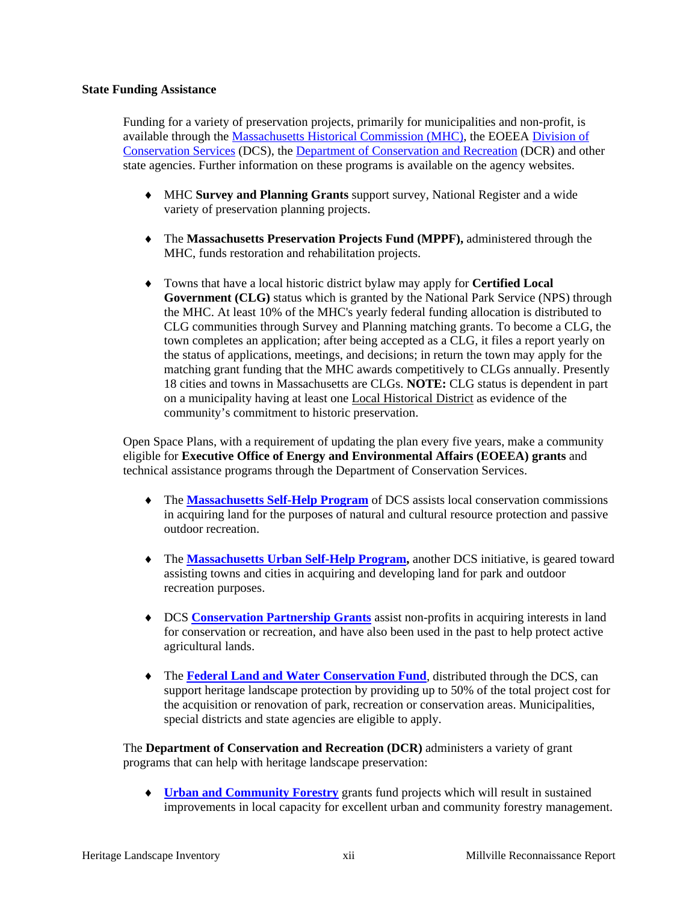#### **State Funding Assistance**

Funding for a variety of preservation projects, primarily for municipalities and non-profit, is available through the Massachusetts Historical Commission (MHC), the EOEEA Division of Conservation Services (DCS), the Department of Conservation and Recreation (DCR) and other state agencies. Further information on these programs is available on the agency websites.

- ♦ MHC **Survey and Planning Grants** support survey, National Register and a wide variety of preservation planning projects.
- ♦ The **Massachusetts Preservation Projects Fund (MPPF),** administered through the MHC, funds restoration and rehabilitation projects.
- ♦ Towns that have a local historic district bylaw may apply for **Certified Local Government (CLG)** status which is granted by the National Park Service (NPS) through the MHC. At least 10% of the MHC's yearly federal funding allocation is distributed to CLG communities through Survey and Planning matching grants. To become a CLG, the town completes an application; after being accepted as a CLG, it files a report yearly on the status of applications, meetings, and decisions; in return the town may apply for the matching grant funding that the MHC awards competitively to CLGs annually. Presently 18 cities and towns in Massachusetts are CLGs. **NOTE:** CLG status is dependent in part on a municipality having at least one Local Historical District as evidence of the community's commitment to historic preservation.

Open Space Plans, with a requirement of updating the plan every five years, make a community eligible for **Executive Office of Energy and Environmental Affairs (EOEEA) grants** and technical assistance programs through the Department of Conservation Services.

- ♦ The **Massachusetts Self-Help Program** of DCS assists local conservation commissions in acquiring land for the purposes of natural and cultural resource protection and passive outdoor recreation.
- ♦ The **Massachusetts Urban Self-Help Program,** another DCS initiative, is geared toward assisting towns and cities in acquiring and developing land for park and outdoor recreation purposes.
- ♦ DCS **Conservation Partnership Grants** assist non-profits in acquiring interests in land for conservation or recreation, and have also been used in the past to help protect active agricultural lands.
- ♦ The **Federal Land and Water Conservation Fund**, distributed through the DCS, can support heritage landscape protection by providing up to 50% of the total project cost for the acquisition or renovation of park, recreation or conservation areas. Municipalities, special districts and state agencies are eligible to apply.

The **Department of Conservation and Recreation (DCR)** administers a variety of grant programs that can help with heritage landscape preservation:

**Urban and Community Forestry** grants fund projects which will result in sustained improvements in local capacity for excellent urban and community forestry management.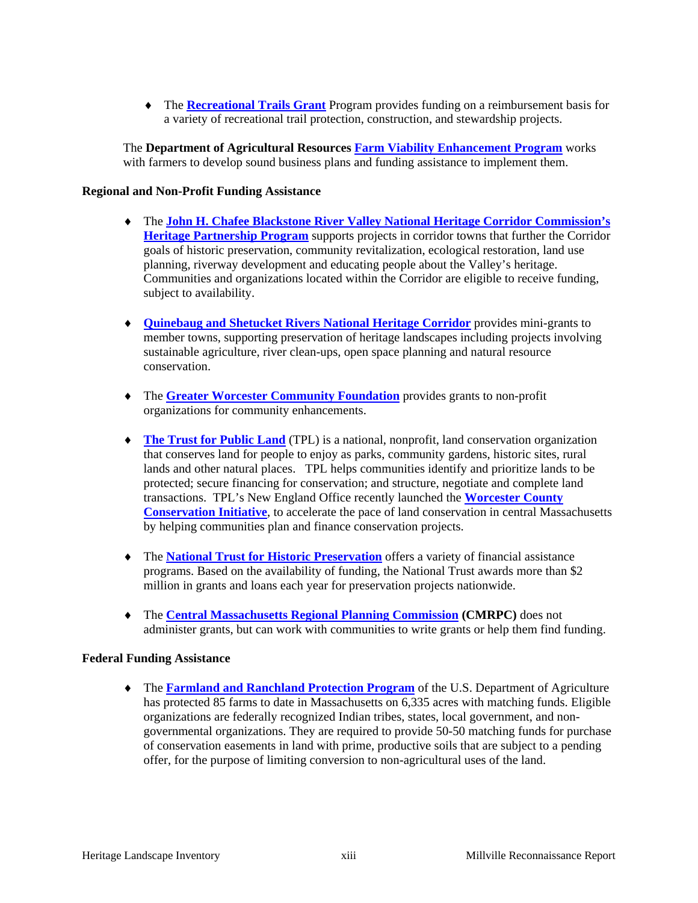♦ The **Recreational Trails Grant** Program provides funding on a reimbursement basis for a variety of recreational trail protection, construction, and stewardship projects.

The **Department of Agricultural Resources Farm Viability Enhancement Program** works with farmers to develop sound business plans and funding assistance to implement them.

#### **Regional and Non-Profit Funding Assistance**

- ♦ The **John H. Chafee Blackstone River Valley National Heritage Corridor Commission's Heritage Partnership Program** supports projects in corridor towns that further the Corridor goals of historic preservation, community revitalization, ecological restoration, land use planning, riverway development and educating people about the Valley's heritage. Communities and organizations located within the Corridor are eligible to receive funding, subject to availability.
- ♦ **Quinebaug and Shetucket Rivers National Heritage Corridor** provides mini-grants to member towns, supporting preservation of heritage landscapes including projects involving sustainable agriculture, river clean-ups, open space planning and natural resource conservation.
- ♦ The **Greater Worcester Community Foundation** provides grants to non-profit organizations for community enhancements.
- ♦ **The Trust for Public Land** (TPL) is a national, nonprofit, land conservation organization that conserves land for people to enjoy as parks, community gardens, historic sites, rural lands and other natural places. TPL helps communities identify and prioritize lands to be protected; secure financing for conservation; and structure, negotiate and complete land transactions. TPL's New England Office recently launched the **Worcester County Conservation Initiative**, to accelerate the pace of land conservation in central Massachusetts by helping communities plan and finance conservation projects.
- ♦ The **National Trust for Historic Preservation** offers a variety of financial assistance programs. Based on the availability of funding, the National Trust awards more than \$2 million in grants and loans each year for preservation projects nationwide.
- ♦ The **Central Massachusetts Regional Planning Commission (CMRPC)** does not administer grants, but can work with communities to write grants or help them find funding.

#### **Federal Funding Assistance**

♦ The **Farmland and Ranchland Protection Program** of the U.S. Department of Agriculture has protected 85 farms to date in Massachusetts on 6,335 acres with matching funds. Eligible organizations are federally recognized Indian tribes, states, local government, and nongovernmental organizations. They are required to provide 50-50 matching funds for purchase of conservation easements in land with prime, productive soils that are subject to a pending offer, for the purpose of limiting conversion to non-agricultural uses of the land.